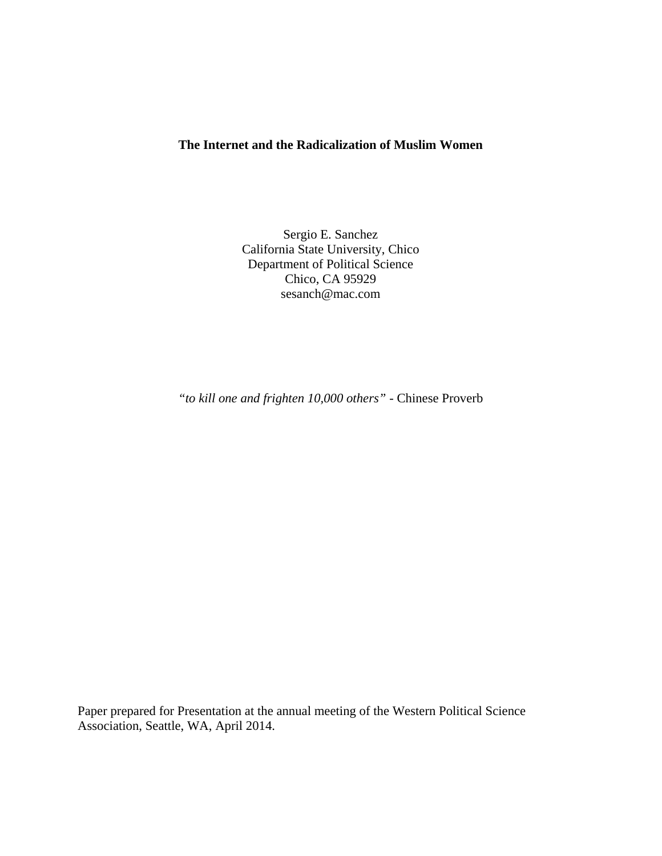# **The Internet and the Radicalization of Muslim Women**

Sergio E. Sanchez California State University, Chico Department of Political Science Chico, CA 95929 sesanch@mac.com

*"to kill one and frighten 10,000 others"* - Chinese Proverb

Paper prepared for Presentation at the annual meeting of the Western Political Science Association, Seattle, WA, April 2014.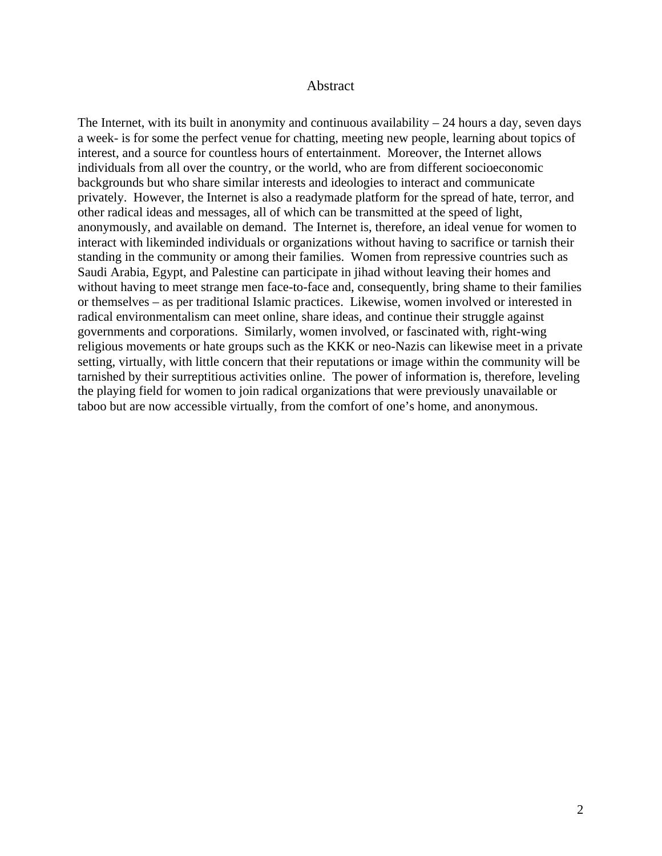### Abstract

The Internet, with its built in anonymity and continuous availability  $-24$  hours a day, seven days a week- is for some the perfect venue for chatting, meeting new people, learning about topics of interest, and a source for countless hours of entertainment. Moreover, the Internet allows individuals from all over the country, or the world, who are from different socioeconomic backgrounds but who share similar interests and ideologies to interact and communicate privately. However, the Internet is also a readymade platform for the spread of hate, terror, and other radical ideas and messages, all of which can be transmitted at the speed of light, anonymously, and available on demand. The Internet is, therefore, an ideal venue for women to interact with likeminded individuals or organizations without having to sacrifice or tarnish their standing in the community or among their families. Women from repressive countries such as Saudi Arabia, Egypt, and Palestine can participate in jihad without leaving their homes and without having to meet strange men face-to-face and, consequently, bring shame to their families or themselves – as per traditional Islamic practices. Likewise, women involved or interested in radical environmentalism can meet online, share ideas, and continue their struggle against governments and corporations. Similarly, women involved, or fascinated with, right-wing religious movements or hate groups such as the KKK or neo-Nazis can likewise meet in a private setting, virtually, with little concern that their reputations or image within the community will be tarnished by their surreptitious activities online. The power of information is, therefore, leveling the playing field for women to join radical organizations that were previously unavailable or taboo but are now accessible virtually, from the comfort of one's home, and anonymous.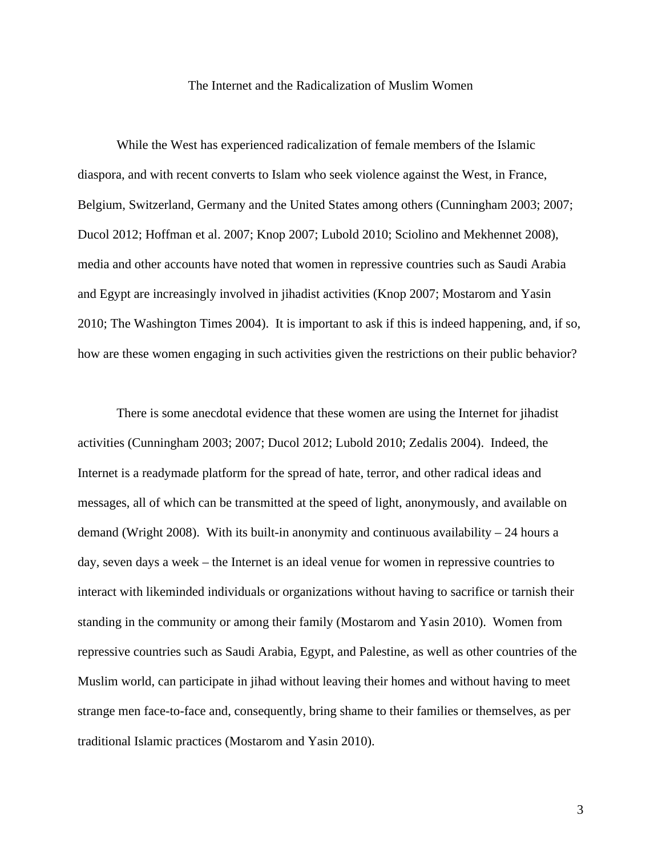#### The Internet and the Radicalization of Muslim Women

While the West has experienced radicalization of female members of the Islamic diaspora, and with recent converts to Islam who seek violence against the West, in France, Belgium, Switzerland, Germany and the United States among others (Cunningham 2003; 2007; Ducol 2012; Hoffman et al. 2007; Knop 2007; Lubold 2010; Sciolino and Mekhennet 2008), media and other accounts have noted that women in repressive countries such as Saudi Arabia and Egypt are increasingly involved in jihadist activities (Knop 2007; Mostarom and Yasin 2010; The Washington Times 2004). It is important to ask if this is indeed happening, and, if so, how are these women engaging in such activities given the restrictions on their public behavior?

There is some anecdotal evidence that these women are using the Internet for jihadist activities (Cunningham 2003; 2007; Ducol 2012; Lubold 2010; Zedalis 2004). Indeed, the Internet is a readymade platform for the spread of hate, terror, and other radical ideas and messages, all of which can be transmitted at the speed of light, anonymously, and available on demand (Wright 2008). With its built-in anonymity and continuous availability  $-24$  hours a day, seven days a week – the Internet is an ideal venue for women in repressive countries to interact with likeminded individuals or organizations without having to sacrifice or tarnish their standing in the community or among their family (Mostarom and Yasin 2010). Women from repressive countries such as Saudi Arabia, Egypt, and Palestine, as well as other countries of the Muslim world, can participate in jihad without leaving their homes and without having to meet strange men face-to-face and, consequently, bring shame to their families or themselves, as per traditional Islamic practices (Mostarom and Yasin 2010).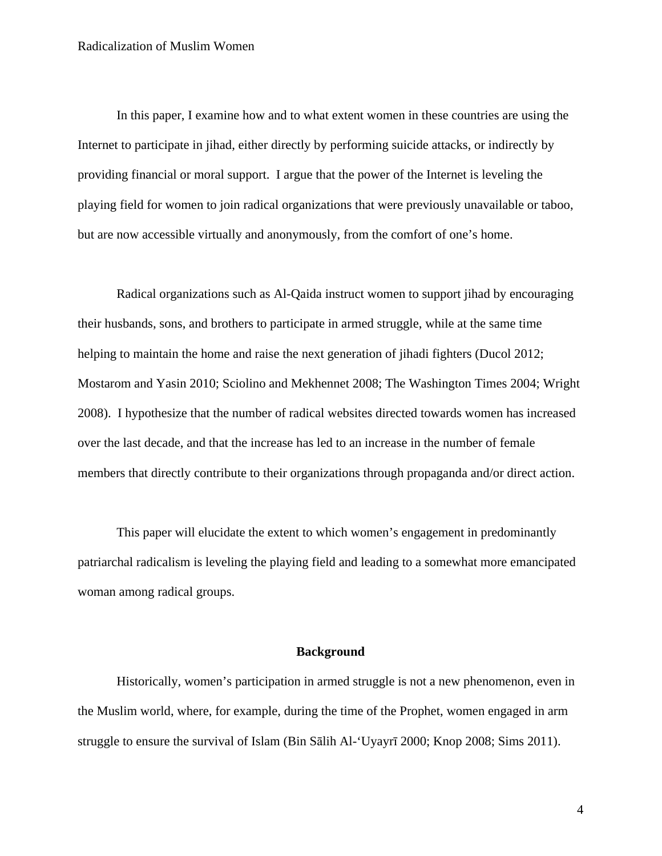In this paper, I examine how and to what extent women in these countries are using the Internet to participate in jihad, either directly by performing suicide attacks, or indirectly by providing financial or moral support. I argue that the power of the Internet is leveling the playing field for women to join radical organizations that were previously unavailable or taboo, but are now accessible virtually and anonymously, from the comfort of one's home.

Radical organizations such as Al-Qaida instruct women to support jihad by encouraging their husbands, sons, and brothers to participate in armed struggle, while at the same time helping to maintain the home and raise the next generation of jihadi fighters (Ducol 2012; Mostarom and Yasin 2010; Sciolino and Mekhennet 2008; The Washington Times 2004; Wright 2008). I hypothesize that the number of radical websites directed towards women has increased over the last decade, and that the increase has led to an increase in the number of female members that directly contribute to their organizations through propaganda and/or direct action.

This paper will elucidate the extent to which women's engagement in predominantly patriarchal radicalism is leveling the playing field and leading to a somewhat more emancipated woman among radical groups.

## **Background**

Historically, women's participation in armed struggle is not a new phenomenon, even in the Muslim world, where, for example, during the time of the Prophet, women engaged in arm struggle to ensure the survival of Islam (Bin Sālih Al-'Uyayrī 2000; Knop 2008; Sims 2011).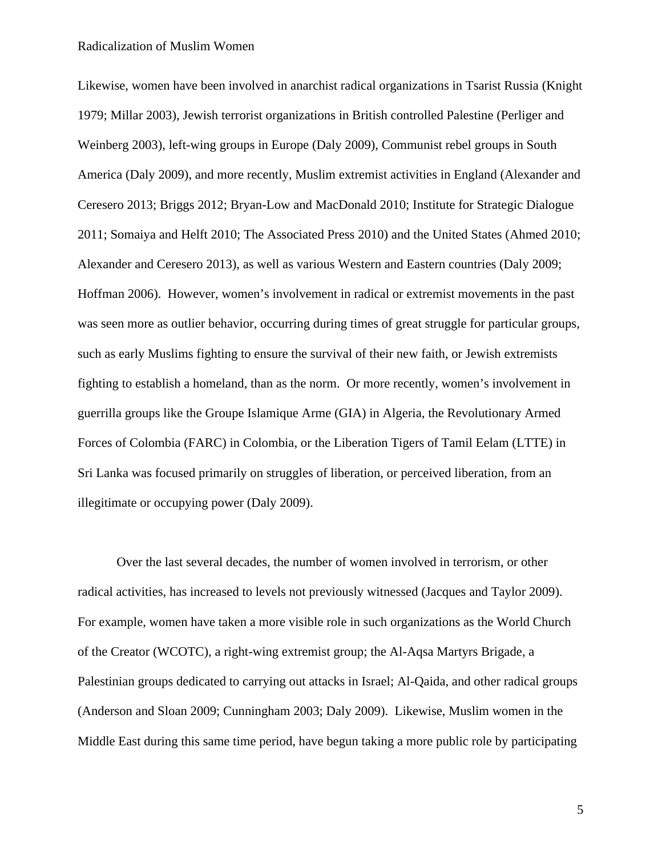Likewise, women have been involved in anarchist radical organizations in Tsarist Russia (Knight 1979; Millar 2003), Jewish terrorist organizations in British controlled Palestine (Perliger and Weinberg 2003), left-wing groups in Europe (Daly 2009), Communist rebel groups in South America (Daly 2009), and more recently, Muslim extremist activities in England (Alexander and Ceresero 2013; Briggs 2012; Bryan-Low and MacDonald 2010; Institute for Strategic Dialogue 2011; Somaiya and Helft 2010; The Associated Press 2010) and the United States (Ahmed 2010; Alexander and Ceresero 2013), as well as various Western and Eastern countries (Daly 2009; Hoffman 2006). However, women's involvement in radical or extremist movements in the past was seen more as outlier behavior, occurring during times of great struggle for particular groups, such as early Muslims fighting to ensure the survival of their new faith, or Jewish extremists fighting to establish a homeland, than as the norm. Or more recently, women's involvement in guerrilla groups like the Groupe Islamique Arme (GIA) in Algeria, the Revolutionary Armed Forces of Colombia (FARC) in Colombia, or the Liberation Tigers of Tamil Eelam (LTTE) in Sri Lanka was focused primarily on struggles of liberation, or perceived liberation, from an illegitimate or occupying power (Daly 2009).

Over the last several decades, the number of women involved in terrorism, or other radical activities, has increased to levels not previously witnessed (Jacques and Taylor 2009). For example, women have taken a more visible role in such organizations as the World Church of the Creator (WCOTC), a right-wing extremist group; the Al-Aqsa Martyrs Brigade, a Palestinian groups dedicated to carrying out attacks in Israel; Al-Qaida, and other radical groups (Anderson and Sloan 2009; Cunningham 2003; Daly 2009). Likewise, Muslim women in the Middle East during this same time period, have begun taking a more public role by participating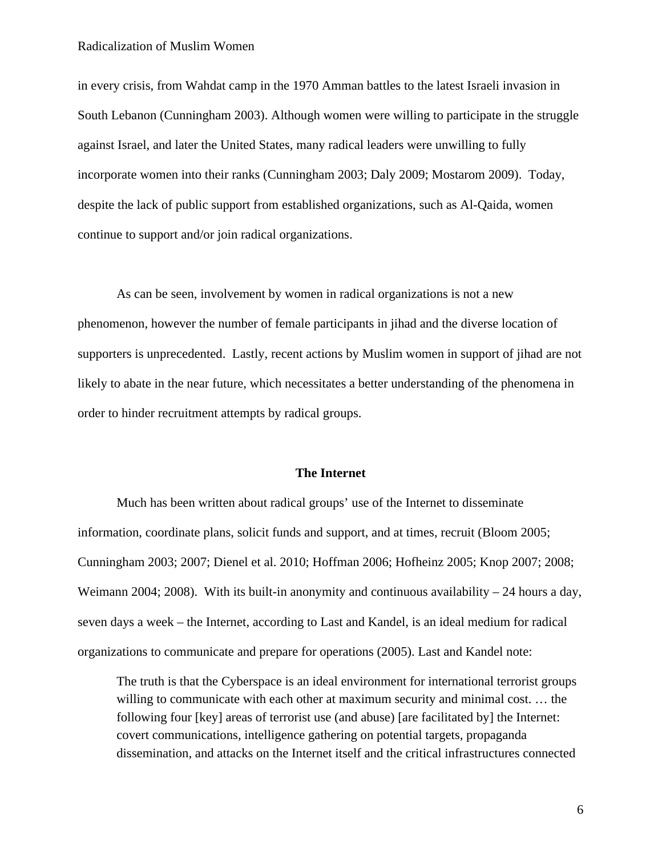in every crisis, from Wahdat camp in the 1970 Amman battles to the latest Israeli invasion in South Lebanon (Cunningham 2003). Although women were willing to participate in the struggle against Israel, and later the United States, many radical leaders were unwilling to fully incorporate women into their ranks (Cunningham 2003; Daly 2009; Mostarom 2009). Today, despite the lack of public support from established organizations, such as Al-Qaida, women continue to support and/or join radical organizations.

As can be seen, involvement by women in radical organizations is not a new phenomenon, however the number of female participants in jihad and the diverse location of supporters is unprecedented. Lastly, recent actions by Muslim women in support of jihad are not likely to abate in the near future, which necessitates a better understanding of the phenomena in order to hinder recruitment attempts by radical groups.

# **The Internet**

Much has been written about radical groups' use of the Internet to disseminate information, coordinate plans, solicit funds and support, and at times, recruit (Bloom 2005; Cunningham 2003; 2007; Dienel et al. 2010; Hoffman 2006; Hofheinz 2005; Knop 2007; 2008; Weimann 2004; 2008). With its built-in anonymity and continuous availability  $-24$  hours a day, seven days a week – the Internet, according to Last and Kandel, is an ideal medium for radical organizations to communicate and prepare for operations (2005). Last and Kandel note:

The truth is that the Cyberspace is an ideal environment for international terrorist groups willing to communicate with each other at maximum security and minimal cost. … the following four [key] areas of terrorist use (and abuse) [are facilitated by] the Internet: covert communications, intelligence gathering on potential targets, propaganda dissemination, and attacks on the Internet itself and the critical infrastructures connected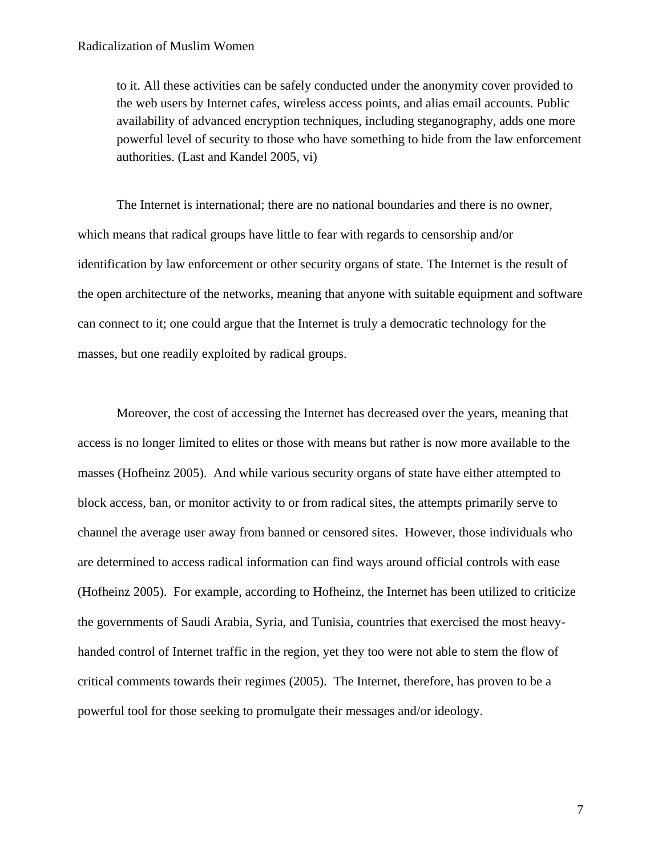to it. All these activities can be safely conducted under the anonymity cover provided to the web users by Internet cafes, wireless access points, and alias email accounts. Public availability of advanced encryption techniques, including steganography, adds one more powerful level of security to those who have something to hide from the law enforcement authorities. (Last and Kandel 2005, vi)

The Internet is international; there are no national boundaries and there is no owner, which means that radical groups have little to fear with regards to censorship and/or identification by law enforcement or other security organs of state. The Internet is the result of the open architecture of the networks, meaning that anyone with suitable equipment and software can connect to it; one could argue that the Internet is truly a democratic technology for the masses, but one readily exploited by radical groups.

Moreover, the cost of accessing the Internet has decreased over the years, meaning that access is no longer limited to elites or those with means but rather is now more available to the masses (Hofheinz 2005). And while various security organs of state have either attempted to block access, ban, or monitor activity to or from radical sites, the attempts primarily serve to channel the average user away from banned or censored sites. However, those individuals who are determined to access radical information can find ways around official controls with ease (Hofheinz 2005). For example, according to Hofheinz, the Internet has been utilized to criticize the governments of Saudi Arabia, Syria, and Tunisia, countries that exercised the most heavyhanded control of Internet traffic in the region, yet they too were not able to stem the flow of critical comments towards their regimes (2005). The Internet, therefore, has proven to be a powerful tool for those seeking to promulgate their messages and/or ideology.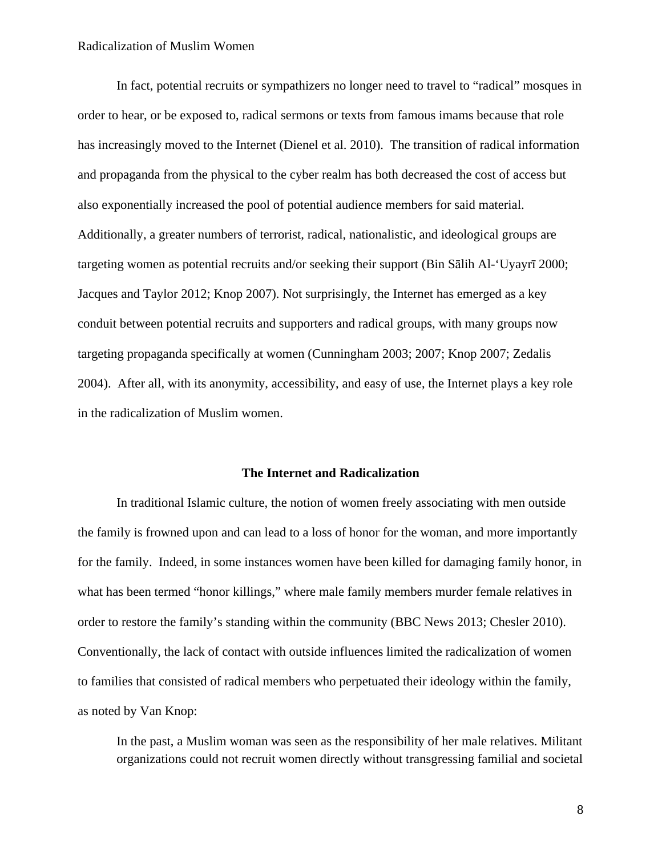In fact, potential recruits or sympathizers no longer need to travel to "radical" mosques in order to hear, or be exposed to, radical sermons or texts from famous imams because that role has increasingly moved to the Internet (Dienel et al. 2010). The transition of radical information and propaganda from the physical to the cyber realm has both decreased the cost of access but also exponentially increased the pool of potential audience members for said material. Additionally, a greater numbers of terrorist, radical, nationalistic, and ideological groups are targeting women as potential recruits and/or seeking their support (Bin Sālih Al-'Uyayrī 2000; Jacques and Taylor 2012; Knop 2007). Not surprisingly, the Internet has emerged as a key conduit between potential recruits and supporters and radical groups, with many groups now targeting propaganda specifically at women (Cunningham 2003; 2007; Knop 2007; Zedalis 2004). After all, with its anonymity, accessibility, and easy of use, the Internet plays a key role in the radicalization of Muslim women.

# **The Internet and Radicalization**

In traditional Islamic culture, the notion of women freely associating with men outside the family is frowned upon and can lead to a loss of honor for the woman, and more importantly for the family. Indeed, in some instances women have been killed for damaging family honor, in what has been termed "honor killings," where male family members murder female relatives in order to restore the family's standing within the community (BBC News 2013; Chesler 2010). Conventionally, the lack of contact with outside influences limited the radicalization of women to families that consisted of radical members who perpetuated their ideology within the family, as noted by Van Knop:

In the past, a Muslim woman was seen as the responsibility of her male relatives. Militant organizations could not recruit women directly without transgressing familial and societal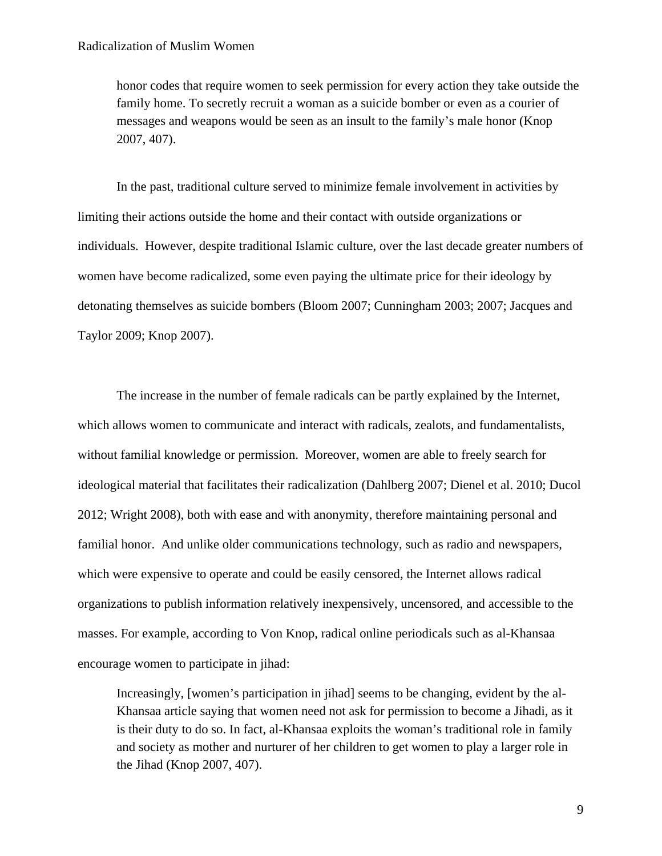honor codes that require women to seek permission for every action they take outside the family home. To secretly recruit a woman as a suicide bomber or even as a courier of messages and weapons would be seen as an insult to the family's male honor (Knop 2007, 407).

In the past, traditional culture served to minimize female involvement in activities by limiting their actions outside the home and their contact with outside organizations or individuals. However, despite traditional Islamic culture, over the last decade greater numbers of women have become radicalized, some even paying the ultimate price for their ideology by detonating themselves as suicide bombers (Bloom 2007; Cunningham 2003; 2007; Jacques and Taylor 2009; Knop 2007).

The increase in the number of female radicals can be partly explained by the Internet, which allows women to communicate and interact with radicals, zealots, and fundamentalists, without familial knowledge or permission. Moreover, women are able to freely search for ideological material that facilitates their radicalization (Dahlberg 2007; Dienel et al. 2010; Ducol 2012; Wright 2008), both with ease and with anonymity, therefore maintaining personal and familial honor. And unlike older communications technology, such as radio and newspapers, which were expensive to operate and could be easily censored, the Internet allows radical organizations to publish information relatively inexpensively, uncensored, and accessible to the masses. For example, according to Von Knop, radical online periodicals such as al-Khansaa encourage women to participate in jihad:

Increasingly, [women's participation in jihad] seems to be changing, evident by the al-Khansaa article saying that women need not ask for permission to become a Jihadi, as it is their duty to do so. In fact, al-Khansaa exploits the woman's traditional role in family and society as mother and nurturer of her children to get women to play a larger role in the Jihad (Knop 2007, 407).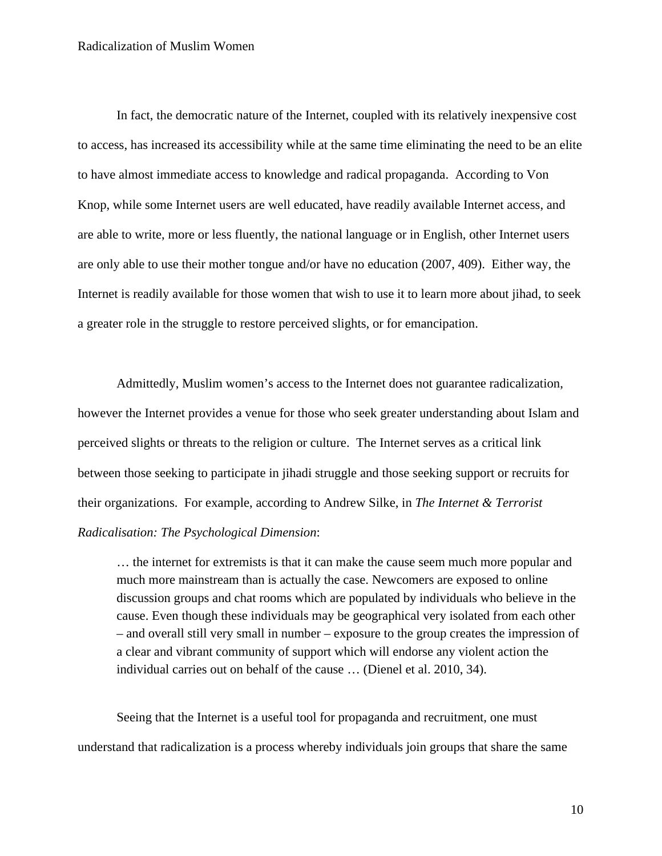In fact, the democratic nature of the Internet, coupled with its relatively inexpensive cost to access, has increased its accessibility while at the same time eliminating the need to be an elite to have almost immediate access to knowledge and radical propaganda. According to Von Knop, while some Internet users are well educated, have readily available Internet access, and are able to write, more or less fluently, the national language or in English, other Internet users are only able to use their mother tongue and/or have no education (2007, 409). Either way, the Internet is readily available for those women that wish to use it to learn more about jihad, to seek a greater role in the struggle to restore perceived slights, or for emancipation.

Admittedly, Muslim women's access to the Internet does not guarantee radicalization, however the Internet provides a venue for those who seek greater understanding about Islam and perceived slights or threats to the religion or culture. The Internet serves as a critical link between those seeking to participate in jihadi struggle and those seeking support or recruits for their organizations. For example, according to Andrew Silke, in *The Internet & Terrorist Radicalisation: The Psychological Dimension*:

… the internet for extremists is that it can make the cause seem much more popular and much more mainstream than is actually the case. Newcomers are exposed to online discussion groups and chat rooms which are populated by individuals who believe in the cause. Even though these individuals may be geographical very isolated from each other – and overall still very small in number – exposure to the group creates the impression of a clear and vibrant community of support which will endorse any violent action the individual carries out on behalf of the cause … (Dienel et al. 2010, 34).

Seeing that the Internet is a useful tool for propaganda and recruitment, one must understand that radicalization is a process whereby individuals join groups that share the same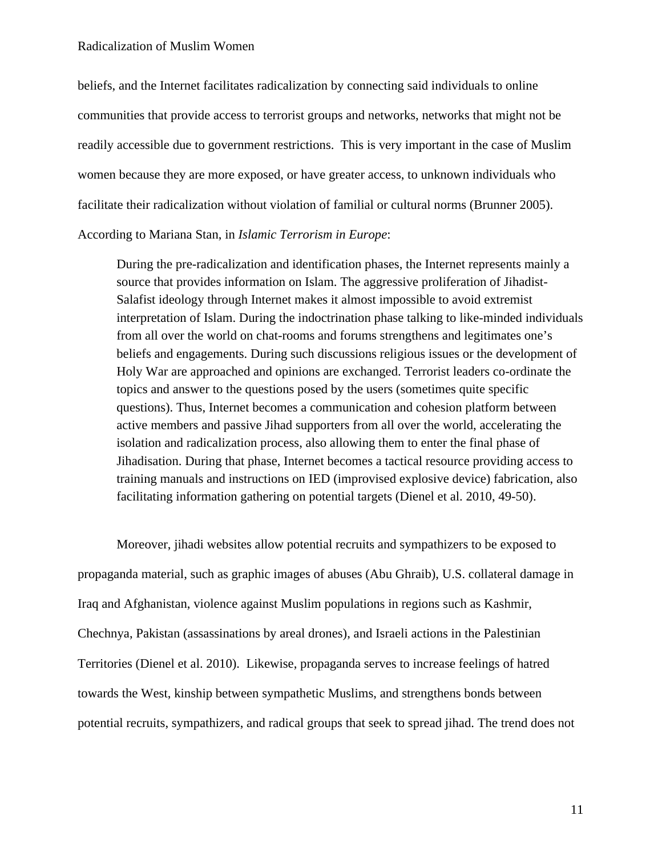beliefs, and the Internet facilitates radicalization by connecting said individuals to online communities that provide access to terrorist groups and networks, networks that might not be readily accessible due to government restrictions. This is very important in the case of Muslim women because they are more exposed, or have greater access, to unknown individuals who facilitate their radicalization without violation of familial or cultural norms (Brunner 2005).

# According to Mariana Stan, in *Islamic Terrorism in Europe*:

During the pre-radicalization and identification phases, the Internet represents mainly a source that provides information on Islam. The aggressive proliferation of Jihadist-Salafist ideology through Internet makes it almost impossible to avoid extremist interpretation of Islam. During the indoctrination phase talking to like-minded individuals from all over the world on chat-rooms and forums strengthens and legitimates one's beliefs and engagements. During such discussions religious issues or the development of Holy War are approached and opinions are exchanged. Terrorist leaders co-ordinate the topics and answer to the questions posed by the users (sometimes quite specific questions). Thus, Internet becomes a communication and cohesion platform between active members and passive Jihad supporters from all over the world, accelerating the isolation and radicalization process, also allowing them to enter the final phase of Jihadisation. During that phase, Internet becomes a tactical resource providing access to training manuals and instructions on IED (improvised explosive device) fabrication, also facilitating information gathering on potential targets (Dienel et al. 2010, 49-50).

Moreover, jihadi websites allow potential recruits and sympathizers to be exposed to propaganda material, such as graphic images of abuses (Abu Ghraib), U.S. collateral damage in Iraq and Afghanistan, violence against Muslim populations in regions such as Kashmir, Chechnya, Pakistan (assassinations by areal drones), and Israeli actions in the Palestinian Territories (Dienel et al. 2010). Likewise, propaganda serves to increase feelings of hatred towards the West, kinship between sympathetic Muslims, and strengthens bonds between potential recruits, sympathizers, and radical groups that seek to spread jihad. The trend does not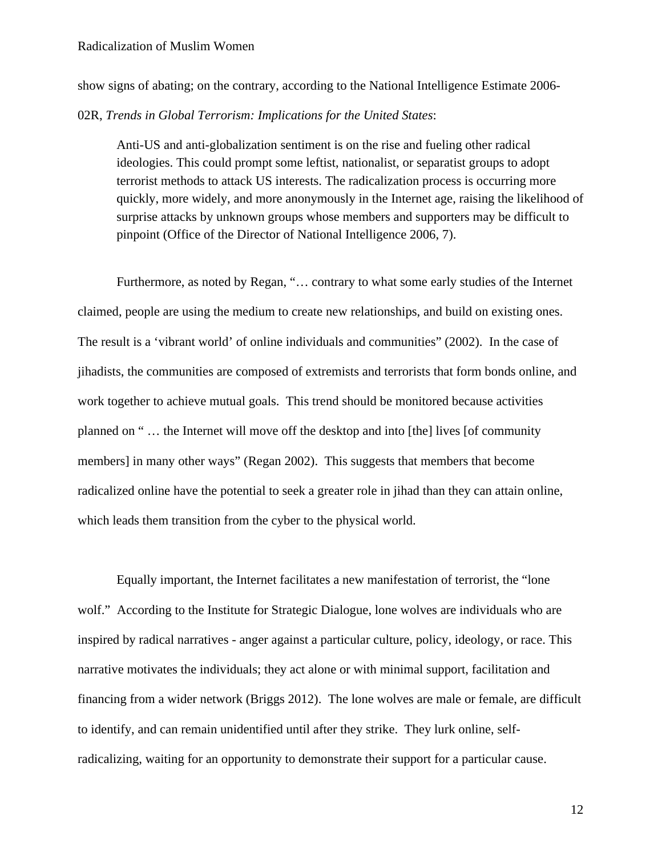show signs of abating; on the contrary, according to the National Intelligence Estimate 2006-

# 02R, *Trends in Global Terrorism: Implications for the United States*:

Anti-US and anti-globalization sentiment is on the rise and fueling other radical ideologies. This could prompt some leftist, nationalist, or separatist groups to adopt terrorist methods to attack US interests. The radicalization process is occurring more quickly, more widely, and more anonymously in the Internet age, raising the likelihood of surprise attacks by unknown groups whose members and supporters may be difficult to pinpoint (Office of the Director of National Intelligence 2006, 7).

Furthermore, as noted by Regan, "… contrary to what some early studies of the Internet claimed, people are using the medium to create new relationships, and build on existing ones. The result is a 'vibrant world' of online individuals and communities" (2002). In the case of jihadists, the communities are composed of extremists and terrorists that form bonds online, and work together to achieve mutual goals. This trend should be monitored because activities planned on " … the Internet will move off the desktop and into [the] lives [of community members] in many other ways" (Regan 2002). This suggests that members that become radicalized online have the potential to seek a greater role in jihad than they can attain online, which leads them transition from the cyber to the physical world.

Equally important, the Internet facilitates a new manifestation of terrorist, the "lone wolf." According to the Institute for Strategic Dialogue, lone wolves are individuals who are inspired by radical narratives - anger against a particular culture, policy, ideology, or race. This narrative motivates the individuals; they act alone or with minimal support, facilitation and financing from a wider network (Briggs 2012). The lone wolves are male or female, are difficult to identify, and can remain unidentified until after they strike. They lurk online, selfradicalizing, waiting for an opportunity to demonstrate their support for a particular cause.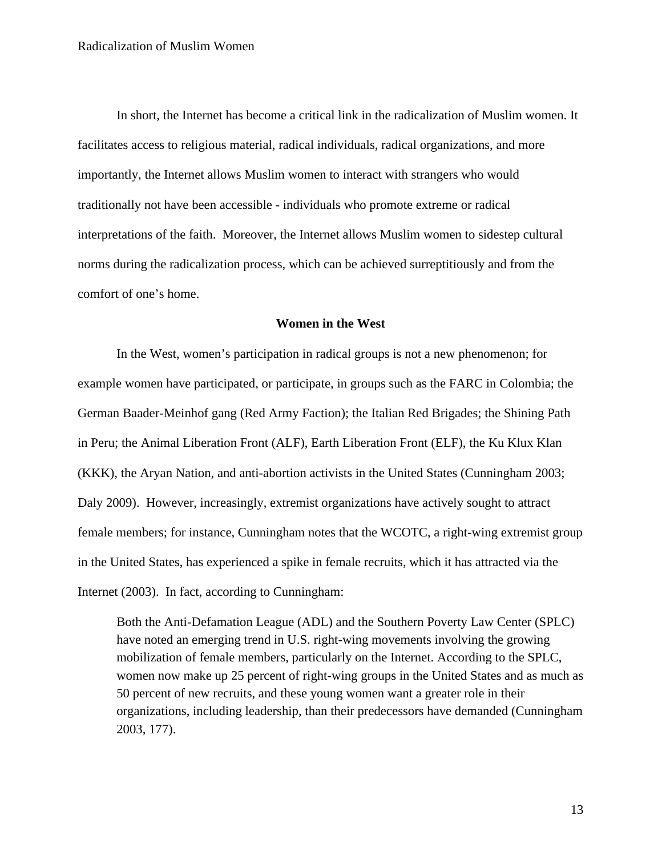In short, the Internet has become a critical link in the radicalization of Muslim women. It facilitates access to religious material, radical individuals, radical organizations, and more importantly, the Internet allows Muslim women to interact with strangers who would traditionally not have been accessible - individuals who promote extreme or radical interpretations of the faith. Moreover, the Internet allows Muslim women to sidestep cultural norms during the radicalization process, which can be achieved surreptitiously and from the comfort of one's home.

# **Women in the West**

In the West, women's participation in radical groups is not a new phenomenon; for example women have participated, or participate, in groups such as the FARC in Colombia; the German Baader-Meinhof gang (Red Army Faction); the Italian Red Brigades; the Shining Path in Peru; the Animal Liberation Front (ALF), Earth Liberation Front (ELF), the Ku Klux Klan (KKK), the Aryan Nation, and anti-abortion activists in the United States (Cunningham 2003; Daly 2009). However, increasingly, extremist organizations have actively sought to attract female members; for instance, Cunningham notes that the WCOTC, a right-wing extremist group in the United States, has experienced a spike in female recruits, which it has attracted via the Internet (2003). In fact, according to Cunningham:

Both the Anti-Defamation League (ADL) and the Southern Poverty Law Center (SPLC) have noted an emerging trend in U.S. right-wing movements involving the growing mobilization of female members, particularly on the Internet. According to the SPLC, women now make up 25 percent of right-wing groups in the United States and as much as 50 percent of new recruits, and these young women want a greater role in their organizations, including leadership, than their predecessors have demanded (Cunningham 2003, 177).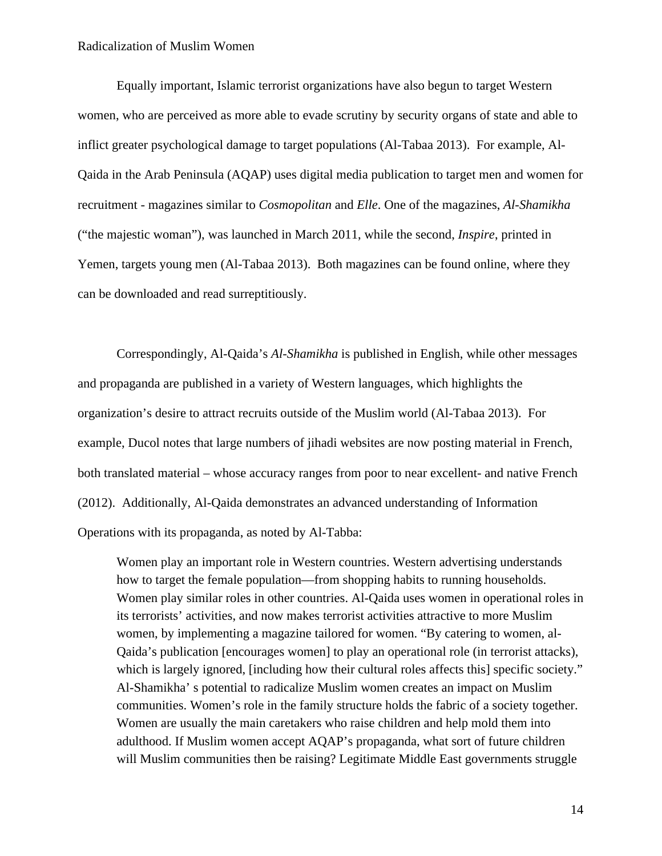Equally important, Islamic terrorist organizations have also begun to target Western women, who are perceived as more able to evade scrutiny by security organs of state and able to inflict greater psychological damage to target populations (Al-Tabaa 2013). For example, Al-Qaida in the Arab Peninsula (AQAP) uses digital media publication to target men and women for recruitment - magazines similar to *Cosmopolitan* and *Elle*. One of the magazines, *Al-Shamikha* ("the majestic woman"), was launched in March 2011, while the second, *Inspire*, printed in Yemen, targets young men (Al-Tabaa 2013). Both magazines can be found online, where they can be downloaded and read surreptitiously.

Correspondingly, Al-Qaida's *Al-Shamikha* is published in English, while other messages and propaganda are published in a variety of Western languages, which highlights the organization's desire to attract recruits outside of the Muslim world (Al-Tabaa 2013). For example, Ducol notes that large numbers of jihadi websites are now posting material in French, both translated material – whose accuracy ranges from poor to near excellent- and native French (2012). Additionally, Al-Qaida demonstrates an advanced understanding of Information Operations with its propaganda, as noted by Al-Tabba:

Women play an important role in Western countries. Western advertising understands how to target the female population—from shopping habits to running households. Women play similar roles in other countries. Al-Qaida uses women in operational roles in its terrorists' activities, and now makes terrorist activities attractive to more Muslim women, by implementing a magazine tailored for women. "By catering to women, al-Qaida's publication [encourages women] to play an operational role (in terrorist attacks), which is largely ignored, [including how their cultural roles affects this] specific society." Al-Shamikha' s potential to radicalize Muslim women creates an impact on Muslim communities. Women's role in the family structure holds the fabric of a society together. Women are usually the main caretakers who raise children and help mold them into adulthood. If Muslim women accept AQAP's propaganda, what sort of future children will Muslim communities then be raising? Legitimate Middle East governments struggle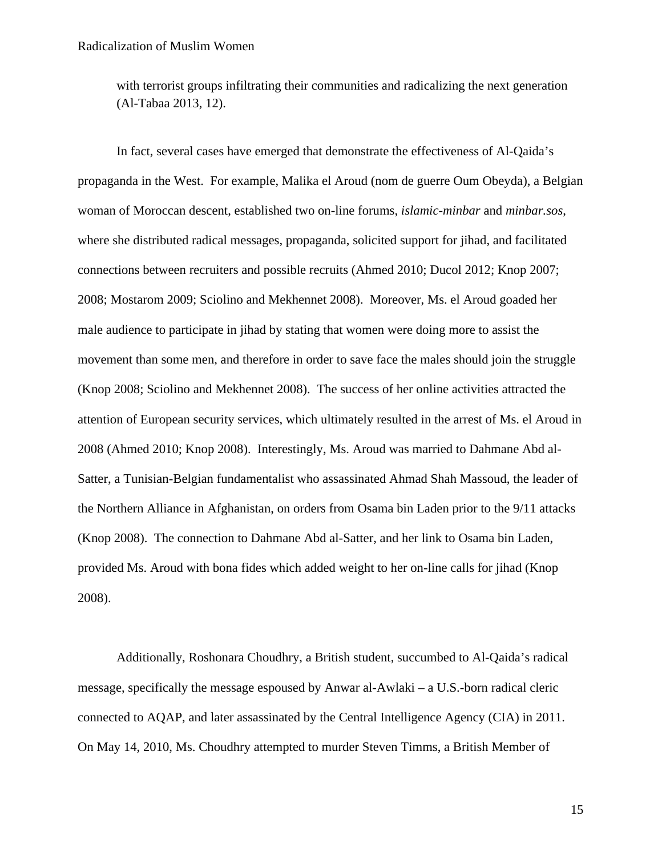with terrorist groups infiltrating their communities and radicalizing the next generation (Al-Tabaa 2013, 12).

In fact, several cases have emerged that demonstrate the effectiveness of Al-Qaida's propaganda in the West. For example, Malika el Aroud (nom de guerre Oum Obeyda), a Belgian woman of Moroccan descent, established two on-line forums, *islamic-minbar* and *minbar.sos*, where she distributed radical messages, propaganda, solicited support for jihad, and facilitated connections between recruiters and possible recruits (Ahmed 2010; Ducol 2012; Knop 2007; 2008; Mostarom 2009; Sciolino and Mekhennet 2008). Moreover, Ms. el Aroud goaded her male audience to participate in jihad by stating that women were doing more to assist the movement than some men, and therefore in order to save face the males should join the struggle (Knop 2008; Sciolino and Mekhennet 2008). The success of her online activities attracted the attention of European security services, which ultimately resulted in the arrest of Ms. el Aroud in 2008 (Ahmed 2010; Knop 2008). Interestingly, Ms. Aroud was married to Dahmane Abd al-Satter, a Tunisian-Belgian fundamentalist who assassinated Ahmad Shah Massoud, the leader of the Northern Alliance in Afghanistan, on orders from Osama bin Laden prior to the 9/11 attacks (Knop 2008). The connection to Dahmane Abd al-Satter, and her link to Osama bin Laden, provided Ms. Aroud with bona fides which added weight to her on-line calls for jihad (Knop 2008).

Additionally, Roshonara Choudhry, a British student, succumbed to Al-Qaida's radical message, specifically the message espoused by Anwar al-Awlaki – a U.S.-born radical cleric connected to AQAP, and later assassinated by the Central Intelligence Agency (CIA) in 2011. On May 14, 2010, Ms. Choudhry attempted to murder Steven Timms, a British Member of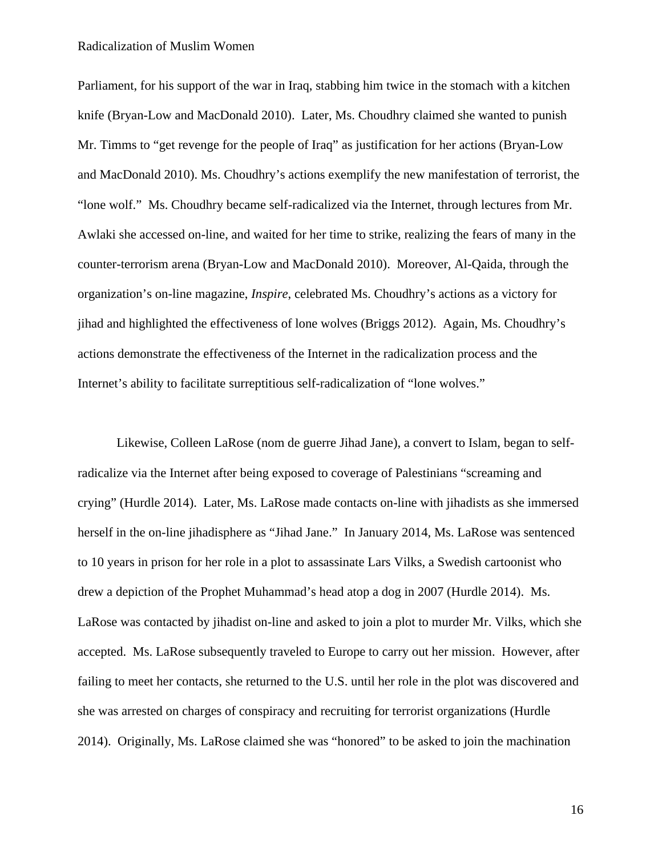Parliament, for his support of the war in Iraq, stabbing him twice in the stomach with a kitchen knife (Bryan-Low and MacDonald 2010). Later, Ms. Choudhry claimed she wanted to punish Mr. Timms to "get revenge for the people of Iraq" as justification for her actions (Bryan-Low and MacDonald 2010). Ms. Choudhry's actions exemplify the new manifestation of terrorist, the "lone wolf." Ms. Choudhry became self-radicalized via the Internet, through lectures from Mr. Awlaki she accessed on-line, and waited for her time to strike, realizing the fears of many in the counter-terrorism arena (Bryan-Low and MacDonald 2010). Moreover, Al-Qaida, through the organization's on-line magazine, *Inspire*, celebrated Ms. Choudhry's actions as a victory for jihad and highlighted the effectiveness of lone wolves (Briggs 2012). Again, Ms. Choudhry's actions demonstrate the effectiveness of the Internet in the radicalization process and the Internet's ability to facilitate surreptitious self-radicalization of "lone wolves."

Likewise, Colleen LaRose (nom de guerre Jihad Jane), a convert to Islam, began to selfradicalize via the Internet after being exposed to coverage of Palestinians "screaming and crying" (Hurdle 2014). Later, Ms. LaRose made contacts on-line with jihadists as she immersed herself in the on-line jihadisphere as "Jihad Jane." In January 2014, Ms. LaRose was sentenced to 10 years in prison for her role in a plot to assassinate Lars Vilks, a Swedish cartoonist who drew a depiction of the Prophet Muhammad's head atop a dog in 2007 (Hurdle 2014). Ms. LaRose was contacted by jihadist on-line and asked to join a plot to murder Mr. Vilks, which she accepted. Ms. LaRose subsequently traveled to Europe to carry out her mission. However, after failing to meet her contacts, she returned to the U.S. until her role in the plot was discovered and she was arrested on charges of conspiracy and recruiting for terrorist organizations (Hurdle 2014). Originally, Ms. LaRose claimed she was "honored" to be asked to join the machination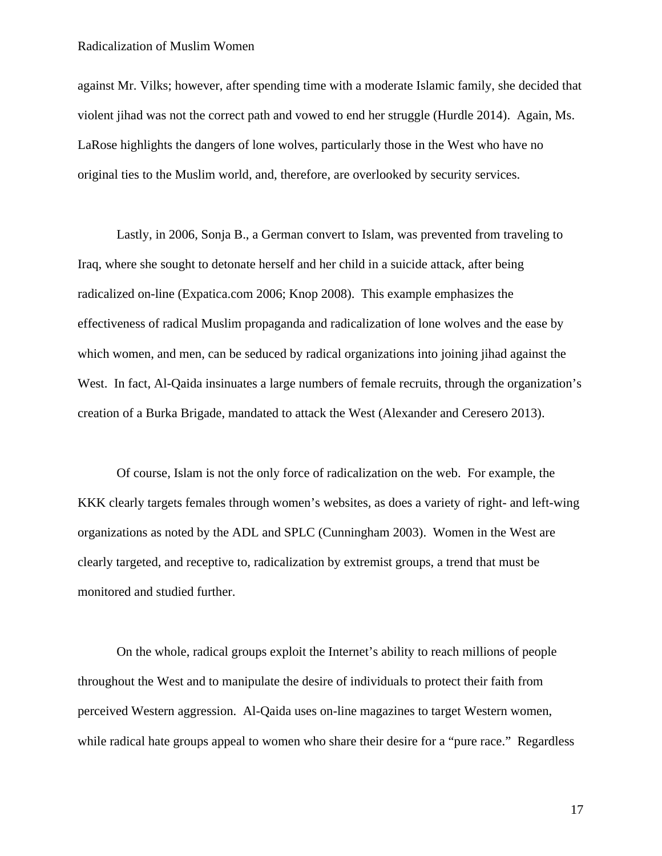against Mr. Vilks; however, after spending time with a moderate Islamic family, she decided that violent jihad was not the correct path and vowed to end her struggle (Hurdle 2014). Again, Ms. LaRose highlights the dangers of lone wolves, particularly those in the West who have no original ties to the Muslim world, and, therefore, are overlooked by security services.

Lastly, in 2006, Sonja B., a German convert to Islam, was prevented from traveling to Iraq, where she sought to detonate herself and her child in a suicide attack, after being radicalized on-line (Expatica.com 2006; Knop 2008). This example emphasizes the effectiveness of radical Muslim propaganda and radicalization of lone wolves and the ease by which women, and men, can be seduced by radical organizations into joining jihad against the West. In fact, Al-Qaida insinuates a large numbers of female recruits, through the organization's creation of a Burka Brigade, mandated to attack the West (Alexander and Ceresero 2013).

Of course, Islam is not the only force of radicalization on the web. For example, the KKK clearly targets females through women's websites, as does a variety of right- and left-wing organizations as noted by the ADL and SPLC (Cunningham 2003). Women in the West are clearly targeted, and receptive to, radicalization by extremist groups, a trend that must be monitored and studied further.

On the whole, radical groups exploit the Internet's ability to reach millions of people throughout the West and to manipulate the desire of individuals to protect their faith from perceived Western aggression. Al-Qaida uses on-line magazines to target Western women, while radical hate groups appeal to women who share their desire for a "pure race." Regardless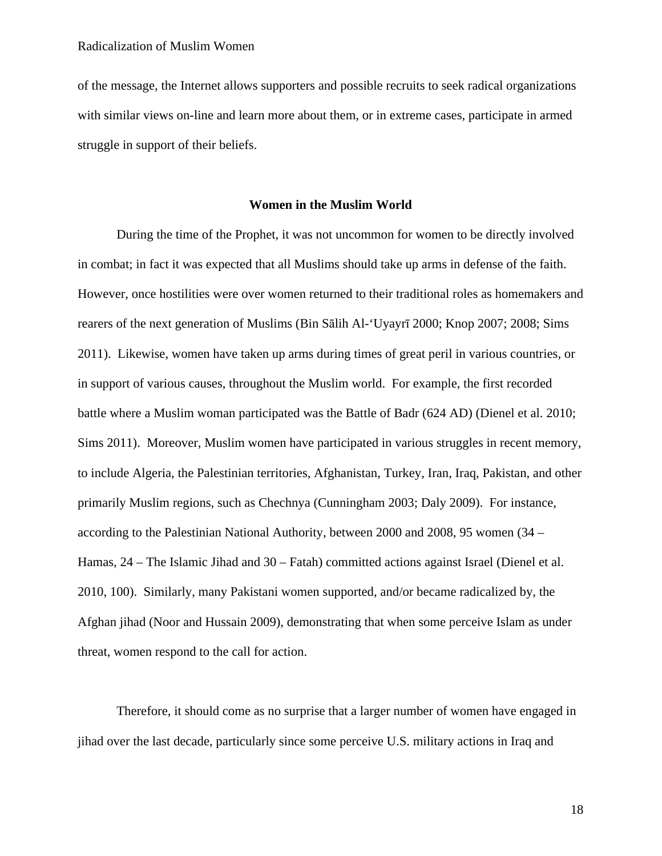of the message, the Internet allows supporters and possible recruits to seek radical organizations with similar views on-line and learn more about them, or in extreme cases, participate in armed struggle in support of their beliefs.

#### **Women in the Muslim World**

During the time of the Prophet, it was not uncommon for women to be directly involved in combat; in fact it was expected that all Muslims should take up arms in defense of the faith. However, once hostilities were over women returned to their traditional roles as homemakers and rearers of the next generation of Muslims (Bin Sālih Al-'Uyayrī 2000; Knop 2007; 2008; Sims 2011). Likewise, women have taken up arms during times of great peril in various countries, or in support of various causes, throughout the Muslim world. For example, the first recorded battle where a Muslim woman participated was the Battle of Badr (624 AD) (Dienel et al. 2010; Sims 2011). Moreover, Muslim women have participated in various struggles in recent memory, to include Algeria, the Palestinian territories, Afghanistan, Turkey, Iran, Iraq, Pakistan, and other primarily Muslim regions, such as Chechnya (Cunningham 2003; Daly 2009). For instance, according to the Palestinian National Authority, between 2000 and 2008, 95 women (34 – Hamas, 24 – The Islamic Jihad and 30 – Fatah) committed actions against Israel (Dienel et al. 2010, 100). Similarly, many Pakistani women supported, and/or became radicalized by, the Afghan jihad (Noor and Hussain 2009), demonstrating that when some perceive Islam as under threat, women respond to the call for action.

Therefore, it should come as no surprise that a larger number of women have engaged in jihad over the last decade, particularly since some perceive U.S. military actions in Iraq and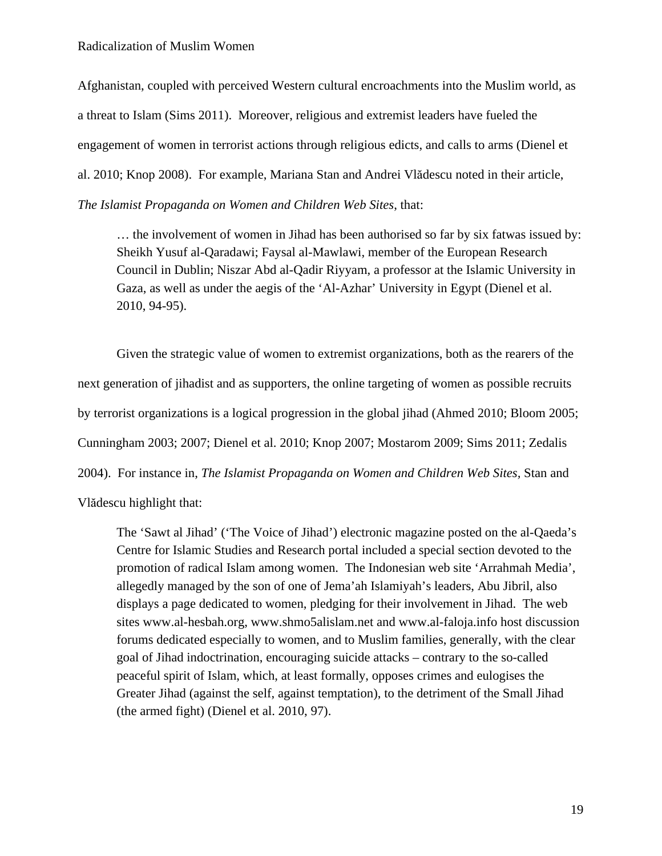Afghanistan, coupled with perceived Western cultural encroachments into the Muslim world, as a threat to Islam (Sims 2011). Moreover, religious and extremist leaders have fueled the engagement of women in terrorist actions through religious edicts, and calls to arms (Dienel et al. 2010; Knop 2008). For example, Mariana Stan and Andrei Vlădescu noted in their article, *The Islamist Propaganda on Women and Children Web Sites*, that:

… the involvement of women in Jihad has been authorised so far by six fatwas issued by: Sheikh Yusuf al-Qaradawi; Faysal al-Mawlawi, member of the European Research Council in Dublin; Niszar Abd al-Qadir Riyyam, a professor at the Islamic University in Gaza, as well as under the aegis of the 'Al-Azhar' University in Egypt (Dienel et al. 2010, 94-95).

Given the strategic value of women to extremist organizations, both as the rearers of the next generation of jihadist and as supporters, the online targeting of women as possible recruits by terrorist organizations is a logical progression in the global jihad (Ahmed 2010; Bloom 2005; Cunningham 2003; 2007; Dienel et al. 2010; Knop 2007; Mostarom 2009; Sims 2011; Zedalis 2004). For instance in, *The Islamist Propaganda on Women and Children Web Sites,* Stan and Vlădescu highlight that:

The 'Sawt al Jihad' ('The Voice of Jihad') electronic magazine posted on the al-Qaeda's Centre for Islamic Studies and Research portal included a special section devoted to the promotion of radical Islam among women. The Indonesian web site 'Arrahmah Media', allegedly managed by the son of one of Jema'ah Islamiyah's leaders, Abu Jibril, also displays a page dedicated to women, pledging for their involvement in Jihad. The web sites www.al-hesbah.org, www.shmo5alislam.net and www.al-faloja.info host discussion forums dedicated especially to women, and to Muslim families, generally, with the clear goal of Jihad indoctrination, encouraging suicide attacks – contrary to the so-called peaceful spirit of Islam, which, at least formally, opposes crimes and eulogises the Greater Jihad (against the self, against temptation), to the detriment of the Small Jihad (the armed fight) (Dienel et al. 2010, 97).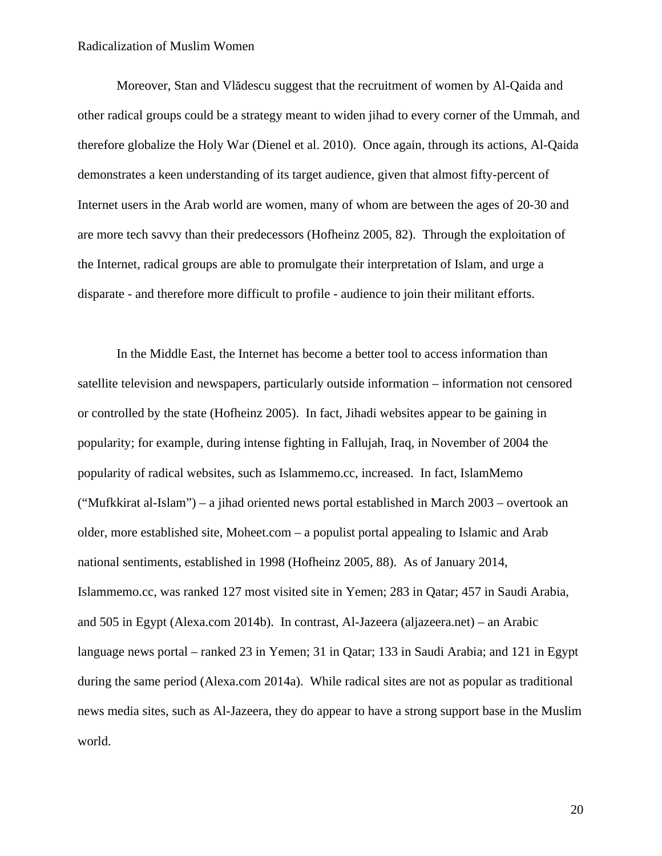Moreover, Stan and Vlădescu suggest that the recruitment of women by Al-Qaida and other radical groups could be a strategy meant to widen jihad to every corner of the Ummah, and therefore globalize the Holy War (Dienel et al. 2010). Once again, through its actions, Al-Qaida demonstrates a keen understanding of its target audience, given that almost fifty-percent of Internet users in the Arab world are women, many of whom are between the ages of 20-30 and are more tech savvy than their predecessors (Hofheinz 2005, 82). Through the exploitation of the Internet, radical groups are able to promulgate their interpretation of Islam, and urge a disparate - and therefore more difficult to profile - audience to join their militant efforts.

In the Middle East, the Internet has become a better tool to access information than satellite television and newspapers, particularly outside information – information not censored or controlled by the state (Hofheinz 2005). In fact, Jihadi websites appear to be gaining in popularity; for example, during intense fighting in Fallujah, Iraq, in November of 2004 the popularity of radical websites, such as Islammemo.cc, increased. In fact, IslamMemo ("Mufkkirat al-Islam") – a jihad oriented news portal established in March 2003 – overtook an older, more established site, Moheet.com – a populist portal appealing to Islamic and Arab national sentiments, established in 1998 (Hofheinz 2005, 88). As of January 2014, Islammemo.cc, was ranked 127 most visited site in Yemen; 283 in Qatar; 457 in Saudi Arabia, and 505 in Egypt (Alexa.com 2014b). In contrast, Al-Jazeera (aljazeera.net) – an Arabic language news portal – ranked 23 in Yemen; 31 in Qatar; 133 in Saudi Arabia; and 121 in Egypt during the same period (Alexa.com 2014a). While radical sites are not as popular as traditional news media sites, such as Al-Jazeera, they do appear to have a strong support base in the Muslim world.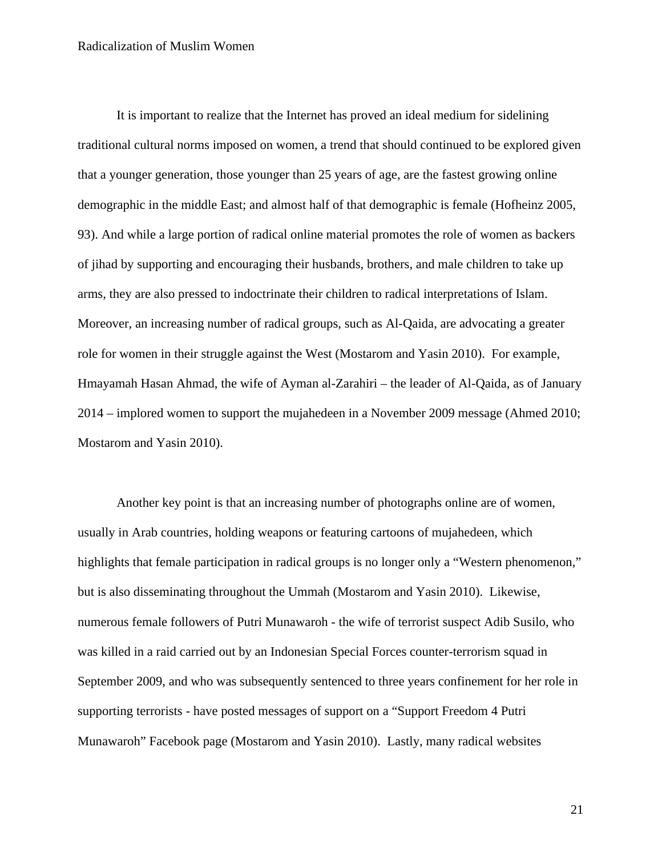It is important to realize that the Internet has proved an ideal medium for sidelining traditional cultural norms imposed on women, a trend that should continued to be explored given that a younger generation, those younger than 25 years of age, are the fastest growing online demographic in the middle East; and almost half of that demographic is female (Hofheinz 2005, 93). And while a large portion of radical online material promotes the role of women as backers of jihad by supporting and encouraging their husbands, brothers, and male children to take up arms, they are also pressed to indoctrinate their children to radical interpretations of Islam. Moreover, an increasing number of radical groups, such as Al-Qaida, are advocating a greater role for women in their struggle against the West (Mostarom and Yasin 2010). For example, Hmayamah Hasan Ahmad, the wife of Ayman al-Zarahiri – the leader of Al-Qaida, as of January 2014 – implored women to support the mujahedeen in a November 2009 message (Ahmed 2010; Mostarom and Yasin 2010).

Another key point is that an increasing number of photographs online are of women, usually in Arab countries, holding weapons or featuring cartoons of mujahedeen, which highlights that female participation in radical groups is no longer only a "Western phenomenon," but is also disseminating throughout the Ummah (Mostarom and Yasin 2010). Likewise, numerous female followers of Putri Munawaroh - the wife of terrorist suspect Adib Susilo, who was killed in a raid carried out by an Indonesian Special Forces counter-terrorism squad in September 2009, and who was subsequently sentenced to three years confinement for her role in supporting terrorists - have posted messages of support on a "Support Freedom 4 Putri Munawaroh" Facebook page (Mostarom and Yasin 2010). Lastly, many radical websites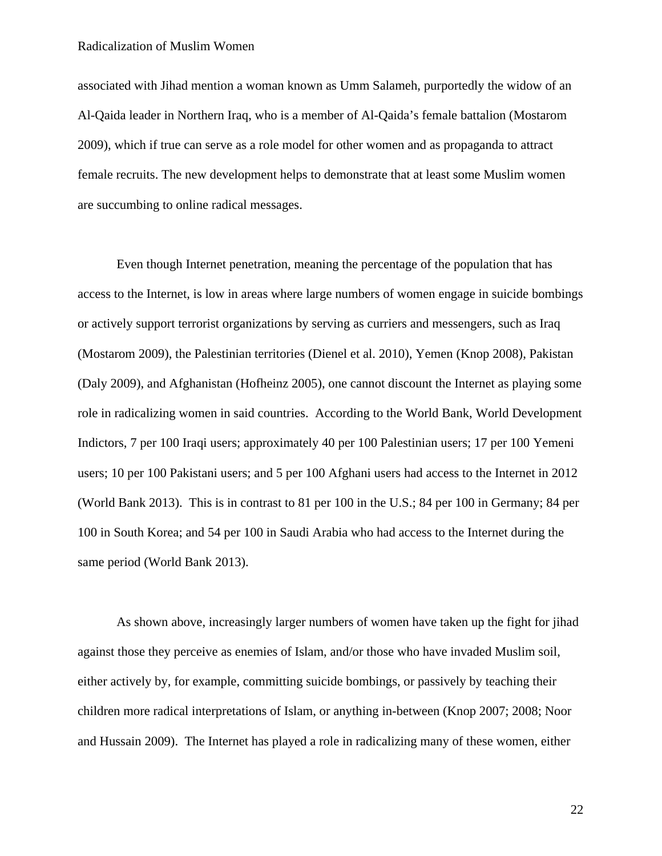associated with Jihad mention a woman known as Umm Salameh, purportedly the widow of an Al-Qaida leader in Northern Iraq, who is a member of Al-Qaida's female battalion (Mostarom 2009), which if true can serve as a role model for other women and as propaganda to attract female recruits. The new development helps to demonstrate that at least some Muslim women are succumbing to online radical messages.

Even though Internet penetration, meaning the percentage of the population that has access to the Internet, is low in areas where large numbers of women engage in suicide bombings or actively support terrorist organizations by serving as curriers and messengers, such as Iraq (Mostarom 2009), the Palestinian territories (Dienel et al. 2010), Yemen (Knop 2008), Pakistan (Daly 2009), and Afghanistan (Hofheinz 2005), one cannot discount the Internet as playing some role in radicalizing women in said countries. According to the World Bank, World Development Indictors, 7 per 100 Iraqi users; approximately 40 per 100 Palestinian users; 17 per 100 Yemeni users; 10 per 100 Pakistani users; and 5 per 100 Afghani users had access to the Internet in 2012 (World Bank 2013). This is in contrast to 81 per 100 in the U.S.; 84 per 100 in Germany; 84 per 100 in South Korea; and 54 per 100 in Saudi Arabia who had access to the Internet during the same period (World Bank 2013).

As shown above, increasingly larger numbers of women have taken up the fight for jihad against those they perceive as enemies of Islam, and/or those who have invaded Muslim soil, either actively by, for example, committing suicide bombings, or passively by teaching their children more radical interpretations of Islam, or anything in-between (Knop 2007; 2008; Noor and Hussain 2009). The Internet has played a role in radicalizing many of these women, either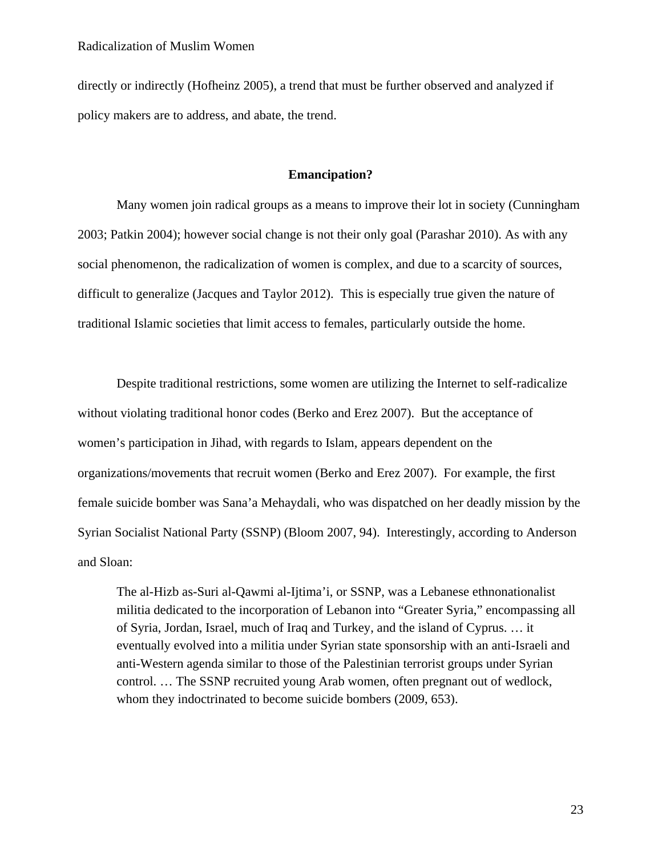directly or indirectly (Hofheinz 2005), a trend that must be further observed and analyzed if policy makers are to address, and abate, the trend.

# **Emancipation?**

Many women join radical groups as a means to improve their lot in society (Cunningham 2003; Patkin 2004); however social change is not their only goal (Parashar 2010). As with any social phenomenon, the radicalization of women is complex, and due to a scarcity of sources, difficult to generalize (Jacques and Taylor 2012). This is especially true given the nature of traditional Islamic societies that limit access to females, particularly outside the home.

Despite traditional restrictions, some women are utilizing the Internet to self-radicalize without violating traditional honor codes (Berko and Erez 2007). But the acceptance of women's participation in Jihad, with regards to Islam, appears dependent on the organizations/movements that recruit women (Berko and Erez 2007). For example, the first female suicide bomber was Sana'a Mehaydali, who was dispatched on her deadly mission by the Syrian Socialist National Party (SSNP) (Bloom 2007, 94). Interestingly, according to Anderson and Sloan:

The al-Hizb as-Suri al-Qawmi al-Ijtima'i, or SSNP, was a Lebanese ethnonationalist militia dedicated to the incorporation of Lebanon into "Greater Syria," encompassing all of Syria, Jordan, Israel, much of Iraq and Turkey, and the island of Cyprus. … it eventually evolved into a militia under Syrian state sponsorship with an anti-Israeli and anti-Western agenda similar to those of the Palestinian terrorist groups under Syrian control. … The SSNP recruited young Arab women, often pregnant out of wedlock, whom they indoctrinated to become suicide bombers (2009, 653).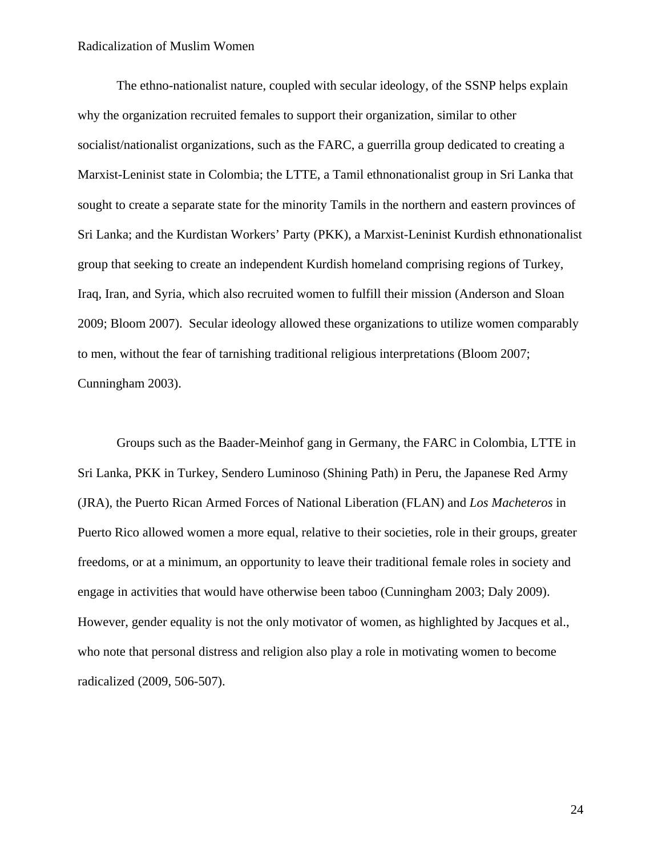The ethno-nationalist nature, coupled with secular ideology, of the SSNP helps explain why the organization recruited females to support their organization, similar to other socialist/nationalist organizations, such as the FARC, a guerrilla group dedicated to creating a Marxist-Leninist state in Colombia; the LTTE, a Tamil ethnonationalist group in Sri Lanka that sought to create a separate state for the minority Tamils in the northern and eastern provinces of Sri Lanka; and the Kurdistan Workers' Party (PKK), a Marxist-Leninist Kurdish ethnonationalist group that seeking to create an independent Kurdish homeland comprising regions of Turkey, Iraq, Iran, and Syria, which also recruited women to fulfill their mission (Anderson and Sloan 2009; Bloom 2007). Secular ideology allowed these organizations to utilize women comparably to men, without the fear of tarnishing traditional religious interpretations (Bloom 2007; Cunningham 2003).

Groups such as the Baader-Meinhof gang in Germany, the FARC in Colombia, LTTE in Sri Lanka, PKK in Turkey, Sendero Luminoso (Shining Path) in Peru, the Japanese Red Army (JRA), the Puerto Rican Armed Forces of National Liberation (FLAN) and *Los Macheteros* in Puerto Rico allowed women a more equal, relative to their societies, role in their groups, greater freedoms, or at a minimum, an opportunity to leave their traditional female roles in society and engage in activities that would have otherwise been taboo (Cunningham 2003; Daly 2009). However, gender equality is not the only motivator of women, as highlighted by Jacques et al., who note that personal distress and religion also play a role in motivating women to become radicalized (2009, 506-507).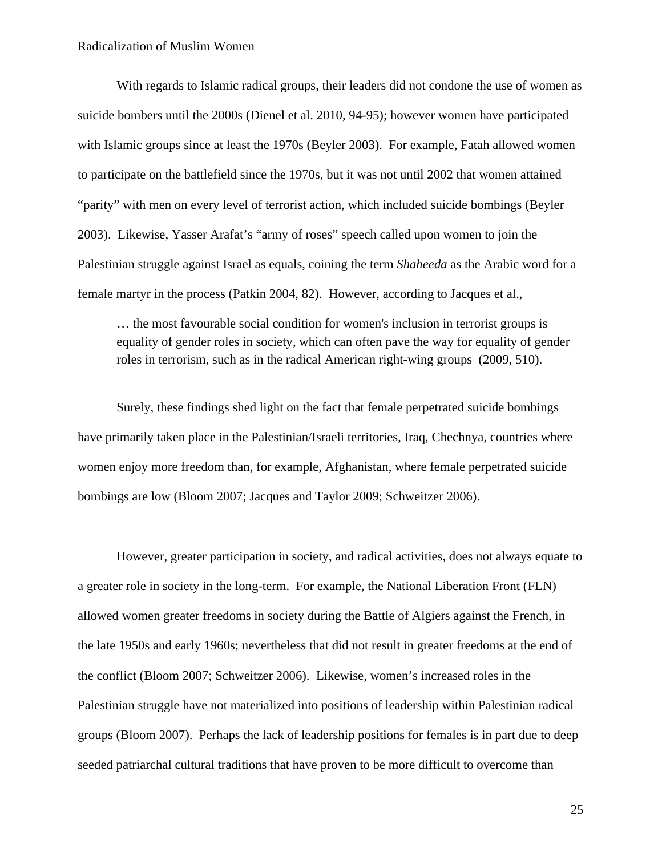With regards to Islamic radical groups, their leaders did not condone the use of women as suicide bombers until the 2000s (Dienel et al. 2010, 94-95); however women have participated with Islamic groups since at least the 1970s (Beyler 2003). For example, Fatah allowed women to participate on the battlefield since the 1970s, but it was not until 2002 that women attained "parity" with men on every level of terrorist action, which included suicide bombings (Beyler 2003). Likewise, Yasser Arafat's "army of roses" speech called upon women to join the Palestinian struggle against Israel as equals, coining the term *Shaheeda* as the Arabic word for a female martyr in the process (Patkin 2004, 82). However, according to Jacques et al.,

… the most favourable social condition for women's inclusion in terrorist groups is equality of gender roles in society, which can often pave the way for equality of gender roles in terrorism, such as in the radical American right-wing groups (2009, 510).

Surely, these findings shed light on the fact that female perpetrated suicide bombings have primarily taken place in the Palestinian/Israeli territories, Iraq, Chechnya, countries where women enjoy more freedom than, for example, Afghanistan, where female perpetrated suicide bombings are low (Bloom 2007; Jacques and Taylor 2009; Schweitzer 2006).

However, greater participation in society, and radical activities, does not always equate to a greater role in society in the long-term. For example, the National Liberation Front (FLN) allowed women greater freedoms in society during the Battle of Algiers against the French, in the late 1950s and early 1960s; nevertheless that did not result in greater freedoms at the end of the conflict (Bloom 2007; Schweitzer 2006). Likewise, women's increased roles in the Palestinian struggle have not materialized into positions of leadership within Palestinian radical groups (Bloom 2007). Perhaps the lack of leadership positions for females is in part due to deep seeded patriarchal cultural traditions that have proven to be more difficult to overcome than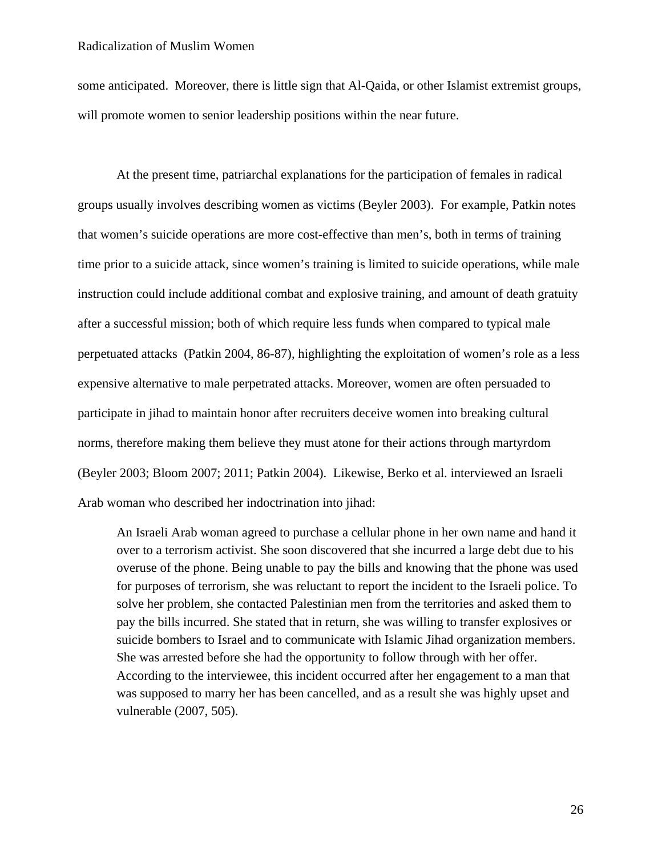some anticipated. Moreover, there is little sign that Al-Qaida, or other Islamist extremist groups, will promote women to senior leadership positions within the near future.

At the present time, patriarchal explanations for the participation of females in radical groups usually involves describing women as victims (Beyler 2003). For example, Patkin notes that women's suicide operations are more cost-effective than men's, both in terms of training time prior to a suicide attack, since women's training is limited to suicide operations, while male instruction could include additional combat and explosive training, and amount of death gratuity after a successful mission; both of which require less funds when compared to typical male perpetuated attacks (Patkin 2004, 86-87), highlighting the exploitation of women's role as a less expensive alternative to male perpetrated attacks. Moreover, women are often persuaded to participate in jihad to maintain honor after recruiters deceive women into breaking cultural norms, therefore making them believe they must atone for their actions through martyrdom (Beyler 2003; Bloom 2007; 2011; Patkin 2004). Likewise, Berko et al. interviewed an Israeli Arab woman who described her indoctrination into jihad:

An Israeli Arab woman agreed to purchase a cellular phone in her own name and hand it over to a terrorism activist. She soon discovered that she incurred a large debt due to his overuse of the phone. Being unable to pay the bills and knowing that the phone was used for purposes of terrorism, she was reluctant to report the incident to the Israeli police. To solve her problem, she contacted Palestinian men from the territories and asked them to pay the bills incurred. She stated that in return, she was willing to transfer explosives or suicide bombers to Israel and to communicate with Islamic Jihad organization members. She was arrested before she had the opportunity to follow through with her offer. According to the interviewee, this incident occurred after her engagement to a man that was supposed to marry her has been cancelled, and as a result she was highly upset and vulnerable (2007, 505).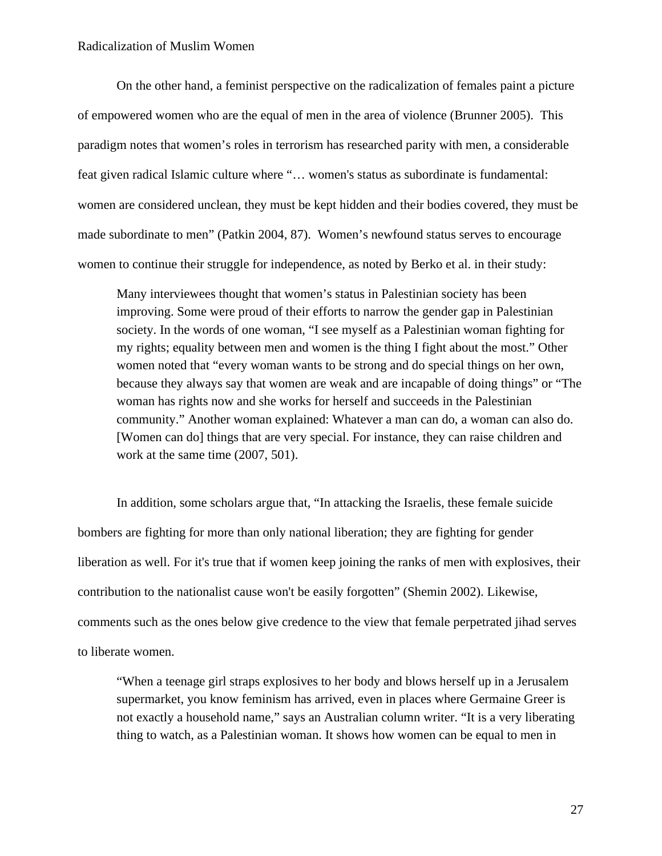On the other hand, a feminist perspective on the radicalization of females paint a picture of empowered women who are the equal of men in the area of violence (Brunner 2005). This paradigm notes that women's roles in terrorism has researched parity with men, a considerable feat given radical Islamic culture where "… women's status as subordinate is fundamental: women are considered unclean, they must be kept hidden and their bodies covered, they must be made subordinate to men" (Patkin 2004, 87). Women's newfound status serves to encourage women to continue their struggle for independence, as noted by Berko et al. in their study:

Many interviewees thought that women's status in Palestinian society has been improving. Some were proud of their efforts to narrow the gender gap in Palestinian society. In the words of one woman, "I see myself as a Palestinian woman fighting for my rights; equality between men and women is the thing I fight about the most." Other women noted that "every woman wants to be strong and do special things on her own, because they always say that women are weak and are incapable of doing things" or "The woman has rights now and she works for herself and succeeds in the Palestinian community." Another woman explained: Whatever a man can do, a woman can also do. [Women can do] things that are very special. For instance, they can raise children and work at the same time (2007, 501).

In addition, some scholars argue that, "In attacking the Israelis, these female suicide bombers are fighting for more than only national liberation; they are fighting for gender liberation as well. For it's true that if women keep joining the ranks of men with explosives, their contribution to the nationalist cause won't be easily forgotten" (Shemin 2002). Likewise, comments such as the ones below give credence to the view that female perpetrated jihad serves to liberate women.

"When a teenage girl straps explosives to her body and blows herself up in a Jerusalem supermarket, you know feminism has arrived, even in places where Germaine Greer is not exactly a household name," says an Australian column writer. "It is a very liberating thing to watch, as a Palestinian woman. It shows how women can be equal to men in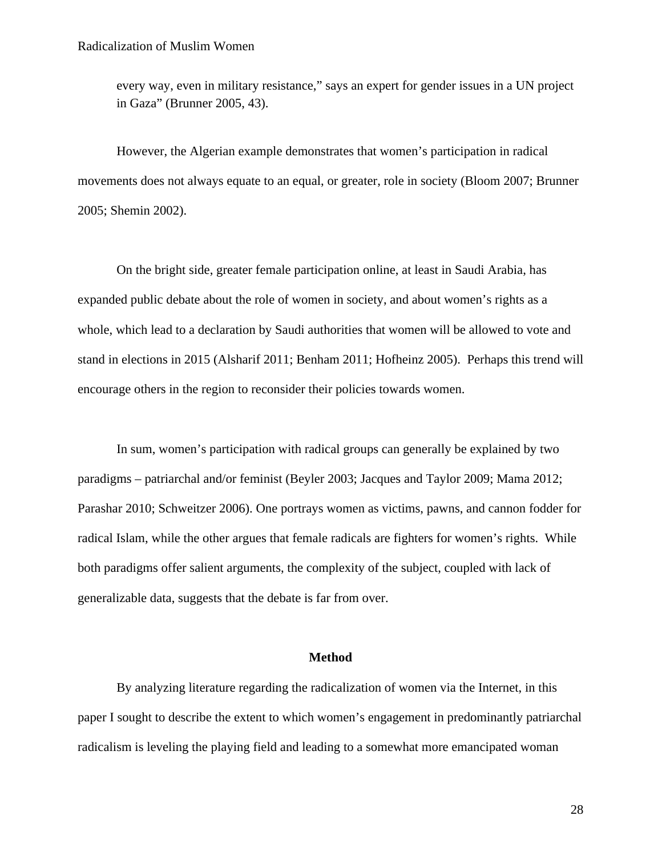every way, even in military resistance," says an expert for gender issues in a UN project in Gaza" (Brunner 2005, 43).

However, the Algerian example demonstrates that women's participation in radical movements does not always equate to an equal, or greater, role in society (Bloom 2007; Brunner 2005; Shemin 2002).

On the bright side, greater female participation online, at least in Saudi Arabia, has expanded public debate about the role of women in society, and about women's rights as a whole, which lead to a declaration by Saudi authorities that women will be allowed to vote and stand in elections in 2015 (Alsharif 2011; Benham 2011; Hofheinz 2005). Perhaps this trend will encourage others in the region to reconsider their policies towards women.

In sum, women's participation with radical groups can generally be explained by two paradigms – patriarchal and/or feminist (Beyler 2003; Jacques and Taylor 2009; Mama 2012; Parashar 2010; Schweitzer 2006). One portrays women as victims, pawns, and cannon fodder for radical Islam, while the other argues that female radicals are fighters for women's rights. While both paradigms offer salient arguments, the complexity of the subject, coupled with lack of generalizable data, suggests that the debate is far from over.

# **Method**

By analyzing literature regarding the radicalization of women via the Internet, in this paper I sought to describe the extent to which women's engagement in predominantly patriarchal radicalism is leveling the playing field and leading to a somewhat more emancipated woman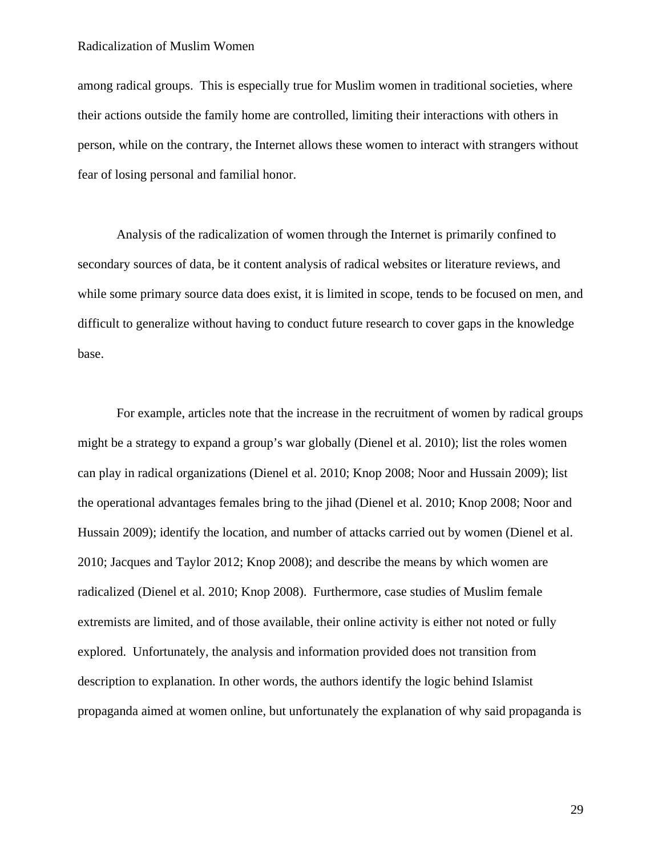among radical groups. This is especially true for Muslim women in traditional societies, where their actions outside the family home are controlled, limiting their interactions with others in person, while on the contrary, the Internet allows these women to interact with strangers without fear of losing personal and familial honor.

Analysis of the radicalization of women through the Internet is primarily confined to secondary sources of data, be it content analysis of radical websites or literature reviews, and while some primary source data does exist, it is limited in scope, tends to be focused on men, and difficult to generalize without having to conduct future research to cover gaps in the knowledge base.

For example, articles note that the increase in the recruitment of women by radical groups might be a strategy to expand a group's war globally (Dienel et al. 2010); list the roles women can play in radical organizations (Dienel et al. 2010; Knop 2008; Noor and Hussain 2009); list the operational advantages females bring to the jihad (Dienel et al. 2010; Knop 2008; Noor and Hussain 2009); identify the location, and number of attacks carried out by women (Dienel et al. 2010; Jacques and Taylor 2012; Knop 2008); and describe the means by which women are radicalized (Dienel et al. 2010; Knop 2008). Furthermore, case studies of Muslim female extremists are limited, and of those available, their online activity is either not noted or fully explored. Unfortunately, the analysis and information provided does not transition from description to explanation. In other words, the authors identify the logic behind Islamist propaganda aimed at women online, but unfortunately the explanation of why said propaganda is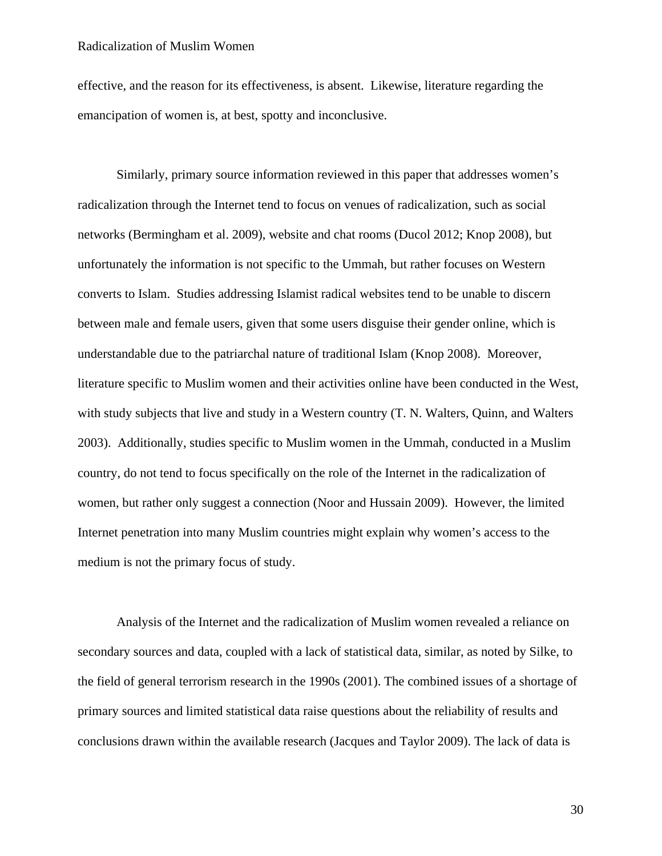effective, and the reason for its effectiveness, is absent. Likewise, literature regarding the emancipation of women is, at best, spotty and inconclusive.

Similarly, primary source information reviewed in this paper that addresses women's radicalization through the Internet tend to focus on venues of radicalization, such as social networks (Bermingham et al. 2009), website and chat rooms (Ducol 2012; Knop 2008), but unfortunately the information is not specific to the Ummah, but rather focuses on Western converts to Islam. Studies addressing Islamist radical websites tend to be unable to discern between male and female users, given that some users disguise their gender online, which is understandable due to the patriarchal nature of traditional Islam (Knop 2008). Moreover, literature specific to Muslim women and their activities online have been conducted in the West, with study subjects that live and study in a Western country (T. N. Walters, Quinn, and Walters 2003). Additionally, studies specific to Muslim women in the Ummah, conducted in a Muslim country, do not tend to focus specifically on the role of the Internet in the radicalization of women, but rather only suggest a connection (Noor and Hussain 2009). However, the limited Internet penetration into many Muslim countries might explain why women's access to the medium is not the primary focus of study.

Analysis of the Internet and the radicalization of Muslim women revealed a reliance on secondary sources and data, coupled with a lack of statistical data, similar, as noted by Silke, to the field of general terrorism research in the 1990s (2001). The combined issues of a shortage of primary sources and limited statistical data raise questions about the reliability of results and conclusions drawn within the available research (Jacques and Taylor 2009). The lack of data is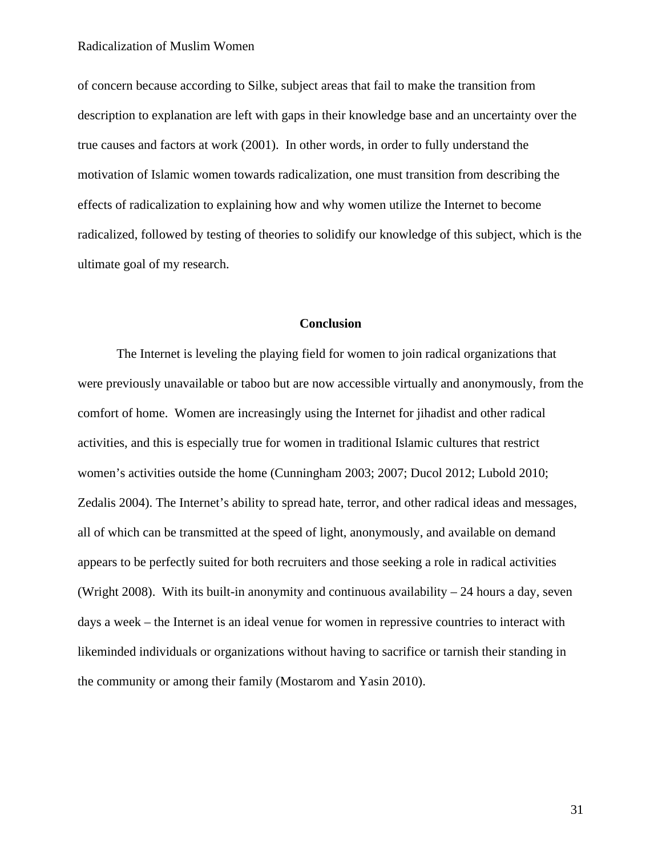of concern because according to Silke, subject areas that fail to make the transition from description to explanation are left with gaps in their knowledge base and an uncertainty over the true causes and factors at work (2001). In other words, in order to fully understand the motivation of Islamic women towards radicalization, one must transition from describing the effects of radicalization to explaining how and why women utilize the Internet to become radicalized, followed by testing of theories to solidify our knowledge of this subject, which is the ultimate goal of my research.

# **Conclusion**

The Internet is leveling the playing field for women to join radical organizations that were previously unavailable or taboo but are now accessible virtually and anonymously, from the comfort of home. Women are increasingly using the Internet for jihadist and other radical activities, and this is especially true for women in traditional Islamic cultures that restrict women's activities outside the home (Cunningham 2003; 2007; Ducol 2012; Lubold 2010; Zedalis 2004). The Internet's ability to spread hate, terror, and other radical ideas and messages, all of which can be transmitted at the speed of light, anonymously, and available on demand appears to be perfectly suited for both recruiters and those seeking a role in radical activities (Wright 2008). With its built-in anonymity and continuous availability  $-24$  hours a day, seven days a week – the Internet is an ideal venue for women in repressive countries to interact with likeminded individuals or organizations without having to sacrifice or tarnish their standing in the community or among their family (Mostarom and Yasin 2010).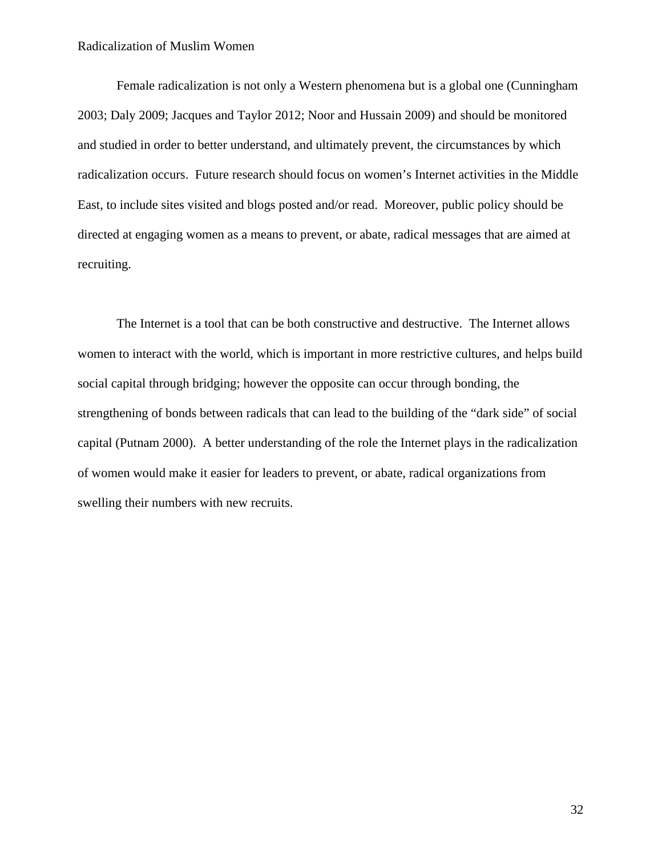Female radicalization is not only a Western phenomena but is a global one (Cunningham 2003; Daly 2009; Jacques and Taylor 2012; Noor and Hussain 2009) and should be monitored and studied in order to better understand, and ultimately prevent, the circumstances by which radicalization occurs. Future research should focus on women's Internet activities in the Middle East, to include sites visited and blogs posted and/or read. Moreover, public policy should be directed at engaging women as a means to prevent, or abate, radical messages that are aimed at recruiting.

The Internet is a tool that can be both constructive and destructive. The Internet allows women to interact with the world, which is important in more restrictive cultures, and helps build social capital through bridging; however the opposite can occur through bonding, the strengthening of bonds between radicals that can lead to the building of the "dark side" of social capital (Putnam 2000). A better understanding of the role the Internet plays in the radicalization of women would make it easier for leaders to prevent, or abate, radical organizations from swelling their numbers with new recruits.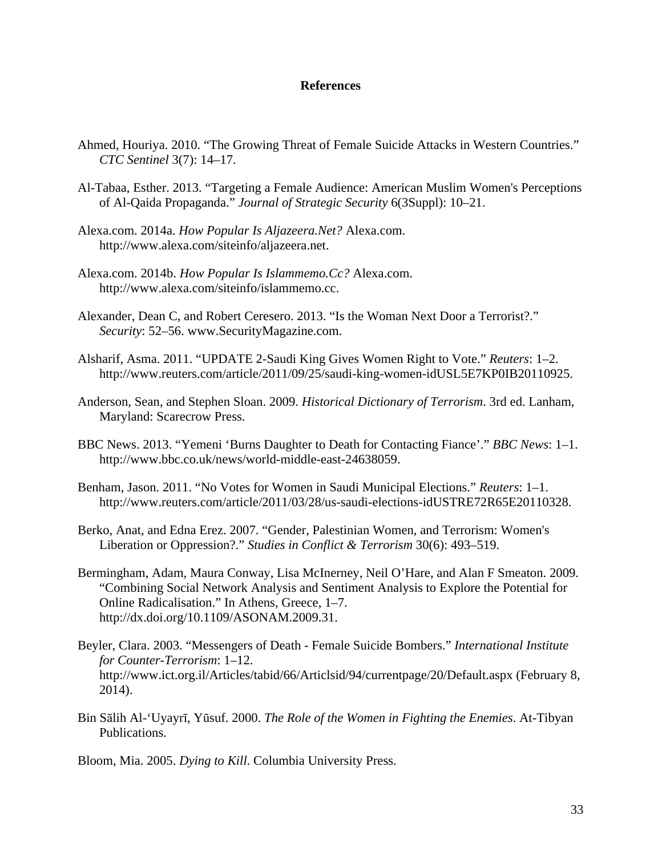# **References**

- Ahmed, Houriya. 2010. "The Growing Threat of Female Suicide Attacks in Western Countries." *CTC Sentinel* 3(7): 14–17.
- Al-Tabaa, Esther. 2013. "Targeting a Female Audience: American Muslim Women's Perceptions of Al-Qaida Propaganda." *Journal of Strategic Security* 6(3Suppl): 10–21.
- Alexa.com. 2014a. *How Popular Is Aljazeera.Net?* Alexa.com. http://www.alexa.com/siteinfo/aljazeera.net.
- Alexa.com. 2014b. *How Popular Is Islammemo.Cc?* Alexa.com. http://www.alexa.com/siteinfo/islammemo.cc.
- Alexander, Dean C, and Robert Ceresero. 2013. "Is the Woman Next Door a Terrorist?." *Security*: 52–56. www.SecurityMagazine.com.
- Alsharif, Asma. 2011. "UPDATE 2-Saudi King Gives Women Right to Vote." *Reuters*: 1–2. http://www.reuters.com/article/2011/09/25/saudi-king-women-idUSL5E7KP0IB20110925.
- Anderson, Sean, and Stephen Sloan. 2009. *Historical Dictionary of Terrorism*. 3rd ed. Lanham, Maryland: Scarecrow Press.
- BBC News. 2013. "Yemeni 'Burns Daughter to Death for Contacting Fiance'." *BBC News*: 1–1. http://www.bbc.co.uk/news/world-middle-east-24638059.
- Benham, Jason. 2011. "No Votes for Women in Saudi Municipal Elections." *Reuters*: 1–1. http://www.reuters.com/article/2011/03/28/us-saudi-elections-idUSTRE72R65E20110328.
- Berko, Anat, and Edna Erez. 2007. "Gender, Palestinian Women, and Terrorism: Women's Liberation or Oppression?." *Studies in Conflict & Terrorism* 30(6): 493–519.
- Bermingham, Adam, Maura Conway, Lisa McInerney, Neil O'Hare, and Alan F Smeaton. 2009. "Combining Social Network Analysis and Sentiment Analysis to Explore the Potential for Online Radicalisation." In Athens, Greece, 1–7. http://dx.doi.org/10.1109/ASONAM.2009.31.
- Beyler, Clara. 2003. "Messengers of Death Female Suicide Bombers." *International Institute for Counter-Terrorism*: 1–12. http://www.ict.org.il/Articles/tabid/66/Articlsid/94/currentpage/20/Default.aspx (February 8, 2014).
- Bin Sālih Al-'Uyayrī, Yūsuf. 2000. *The Role of the Women in Fighting the Enemies*. At-Tibyan Publications.
- Bloom, Mia. 2005. *Dying to Kill*. Columbia University Press.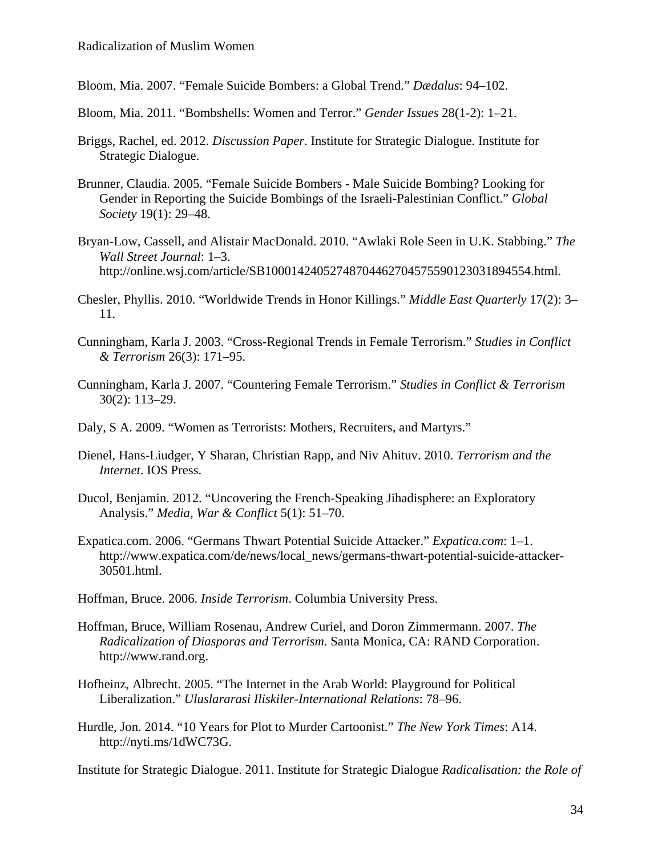Bloom, Mia. 2007. "Female Suicide Bombers: a Global Trend." *Dædalus*: 94–102.

Bloom, Mia. 2011. "Bombshells: Women and Terror." *Gender Issues* 28(1-2): 1–21.

- Briggs, Rachel, ed. 2012. *Discussion Paper*. Institute for Strategic Dialogue. Institute for Strategic Dialogue.
- Brunner, Claudia. 2005. "Female Suicide Bombers Male Suicide Bombing? Looking for Gender in Reporting the Suicide Bombings of the Israeli-Palestinian Conflict." *Global Society* 19(1): 29–48.
- Bryan-Low, Cassell, and Alistair MacDonald. 2010. "Awlaki Role Seen in U.K. Stabbing." *The Wall Street Journal*: 1–3. http://online.wsj.com/article/SB10001424052748704462704575590123031894554.html.
- Chesler, Phyllis. 2010. "Worldwide Trends in Honor Killings." *Middle East Quarterly* 17(2): 3– 11.
- Cunningham, Karla J. 2003. "Cross-Regional Trends in Female Terrorism." *Studies in Conflict & Terrorism* 26(3): 171–95.
- Cunningham, Karla J. 2007. "Countering Female Terrorism." *Studies in Conflict & Terrorism* 30(2): 113–29.
- Daly, S A. 2009. "Women as Terrorists: Mothers, Recruiters, and Martyrs."
- Dienel, Hans-Liudger, Y Sharan, Christian Rapp, and Niv Ahituv. 2010. *Terrorism and the Internet*. IOS Press.
- Ducol, Benjamin. 2012. "Uncovering the French-Speaking Jihadisphere: an Exploratory Analysis." *Media, War & Conflict* 5(1): 51–70.
- Expatica.com. 2006. "Germans Thwart Potential Suicide Attacker." *Expatica.com*: 1–1. http://www.expatica.com/de/news/local\_news/germans-thwart-potential-suicide-attacker-30501.html.

Hoffman, Bruce. 2006. *Inside Terrorism*. Columbia University Press.

- Hoffman, Bruce, William Rosenau, Andrew Curiel, and Doron Zimmermann. 2007. *The Radicalization of Diasporas and Terrorism*. Santa Monica, CA: RAND Corporation. http://www.rand.org.
- Hofheinz, Albrecht. 2005. "The Internet in the Arab World: Playground for Political Liberalization." *Uluslararasi Iliskiler-International Relations*: 78–96.
- Hurdle, Jon. 2014. "10 Years for Plot to Murder Cartoonist." *The New York Times*: A14. http://nyti.ms/1dWC73G.

Institute for Strategic Dialogue. 2011. Institute for Strategic Dialogue *Radicalisation: the Role of*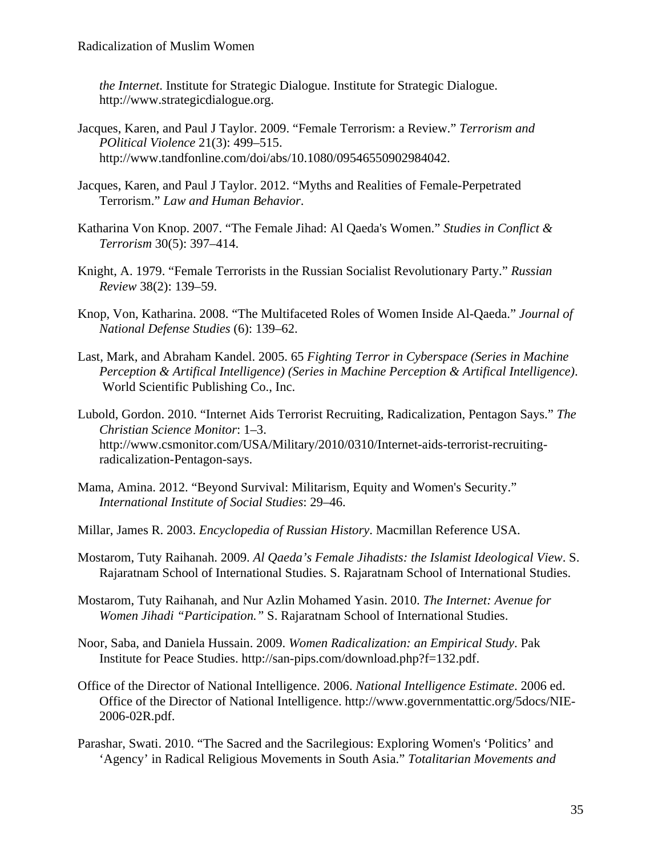*the Internet*. Institute for Strategic Dialogue. Institute for Strategic Dialogue. http://www.strategicdialogue.org.

- Jacques, Karen, and Paul J Taylor. 2009. "Female Terrorism: a Review." *Terrorism and POlitical Violence* 21(3): 499–515. http://www.tandfonline.com/doi/abs/10.1080/09546550902984042.
- Jacques, Karen, and Paul J Taylor. 2012. "Myths and Realities of Female-Perpetrated Terrorism." *Law and Human Behavior*.
- Katharina Von Knop. 2007. "The Female Jihad: Al Qaeda's Women." *Studies in Conflict & Terrorism* 30(5): 397–414.
- Knight, A. 1979. "Female Terrorists in the Russian Socialist Revolutionary Party." *Russian Review* 38(2): 139–59.
- Knop, Von, Katharina. 2008. "The Multifaceted Roles of Women Inside Al-Qaeda." *Journal of National Defense Studies* (6): 139–62.
- Last, Mark, and Abraham Kandel. 2005. 65 *Fighting Terror in Cyberspace (Series in Machine Perception & Artifical Intelligence) (Series in Machine Perception & Artifical Intelligence)*. World Scientific Publishing Co., Inc.
- Lubold, Gordon. 2010. "Internet Aids Terrorist Recruiting, Radicalization, Pentagon Says." *The Christian Science Monitor*: 1–3. http://www.csmonitor.com/USA/Military/2010/0310/Internet-aids-terrorist-recruitingradicalization-Pentagon-says.
- Mama, Amina. 2012. "Beyond Survival: Militarism, Equity and Women's Security." *International Institute of Social Studies*: 29–46.
- Millar, James R. 2003. *Encyclopedia of Russian History*. Macmillan Reference USA.
- Mostarom, Tuty Raihanah. 2009. *Al Qaeda's Female Jihadists: the Islamist Ideological View*. S. Rajaratnam School of International Studies. S. Rajaratnam School of International Studies.
- Mostarom, Tuty Raihanah, and Nur Azlin Mohamed Yasin. 2010. *The Internet: Avenue for Women Jihadi "Participation."* S. Rajaratnam School of International Studies.
- Noor, Saba, and Daniela Hussain. 2009. *Women Radicalization: an Empirical Study*. Pak Institute for Peace Studies. http://san-pips.com/download.php?f=132.pdf.
- Office of the Director of National Intelligence. 2006. *National Intelligence Estimate*. 2006 ed. Office of the Director of National Intelligence. http://www.governmentattic.org/5docs/NIE-2006-02R.pdf.
- Parashar, Swati. 2010. "The Sacred and the Sacrilegious: Exploring Women's 'Politics' and 'Agency' in Radical Religious Movements in South Asia." *Totalitarian Movements and*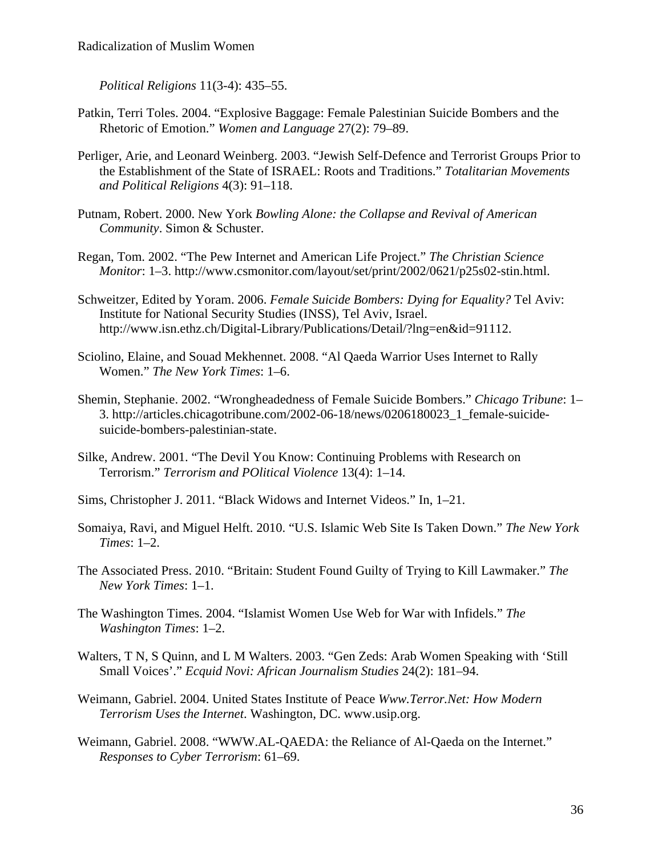*Political Religions* 11(3-4): 435–55.

- Patkin, Terri Toles. 2004. "Explosive Baggage: Female Palestinian Suicide Bombers and the Rhetoric of Emotion." *Women and Language* 27(2): 79–89.
- Perliger, Arie, and Leonard Weinberg. 2003. "Jewish Self-Defence and Terrorist Groups Prior to the Establishment of the State of ISRAEL: Roots and Traditions." *Totalitarian Movements and Political Religions* 4(3): 91–118.
- Putnam, Robert. 2000. New York *Bowling Alone: the Collapse and Revival of American Community*. Simon & Schuster.
- Regan, Tom. 2002. "The Pew Internet and American Life Project." *The Christian Science Monitor*: 1–3. http://www.csmonitor.com/layout/set/print/2002/0621/p25s02-stin.html.
- Schweitzer, Edited by Yoram. 2006. *Female Suicide Bombers: Dying for Equality?* Tel Aviv: Institute for National Security Studies (INSS), Tel Aviv, Israel. http://www.isn.ethz.ch/Digital-Library/Publications/Detail/?lng=en&id=91112.
- Sciolino, Elaine, and Souad Mekhennet. 2008. "Al Qaeda Warrior Uses Internet to Rally Women." *The New York Times*: 1–6.
- Shemin, Stephanie. 2002. "Wrongheadedness of Female Suicide Bombers." *Chicago Tribune*: 1– 3. http://articles.chicagotribune.com/2002-06-18/news/0206180023\_1\_female-suicidesuicide-bombers-palestinian-state.
- Silke, Andrew. 2001. "The Devil You Know: Continuing Problems with Research on Terrorism." *Terrorism and POlitical Violence* 13(4): 1–14.
- Sims, Christopher J. 2011. "Black Widows and Internet Videos." In, 1–21.
- Somaiya, Ravi, and Miguel Helft. 2010. "U.S. Islamic Web Site Is Taken Down." *The New York Times*: 1–2.
- The Associated Press. 2010. "Britain: Student Found Guilty of Trying to Kill Lawmaker." *The New York Times*: 1–1.
- The Washington Times. 2004. "Islamist Women Use Web for War with Infidels." *The Washington Times*: 1–2.
- Walters, T N, S Quinn, and L M Walters. 2003. "Gen Zeds: Arab Women Speaking with 'Still Small Voices'." *Ecquid Novi: African Journalism Studies* 24(2): 181–94.
- Weimann, Gabriel. 2004. United States Institute of Peace *Www.Terror.Net: How Modern Terrorism Uses the Internet*. Washington, DC. www.usip.org.
- Weimann, Gabriel. 2008. "WWW.AL-QAEDA: the Reliance of Al-Qaeda on the Internet." *Responses to Cyber Terrorism*: 61–69.